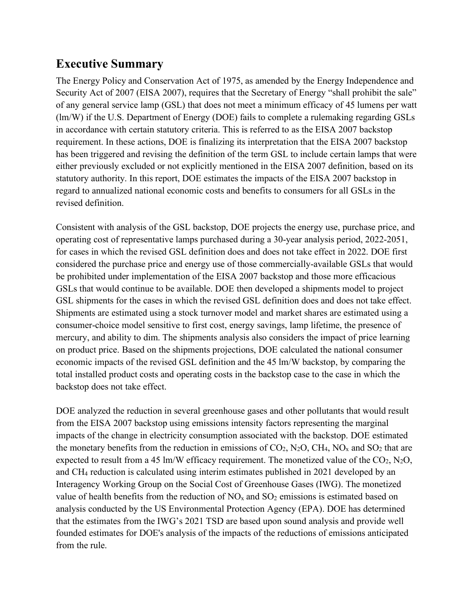# **Executive Summary**

The Energy Policy and Conservation Act of 1975, as amended by the Energy Independence and Security Act of 2007 (EISA 2007), requires that the Secretary of Energy "shall prohibit the sale" of any general service lamp (GSL) that does not meet a minimum efficacy of 45 lumens per watt (lm/W) if the U.S. Department of Energy (DOE) fails to complete a rulemaking regarding GSLs in accordance with certain statutory criteria. This is referred to as the EISA 2007 backstop requirement. In these actions, DOE is finalizing its interpretation that the EISA 2007 backstop has been triggered and revising the definition of the term GSL to include certain lamps that were either previously excluded or not explicitly mentioned in the EISA 2007 definition, based on its statutory authority. In this report, DOE estimates the impacts of the EISA 2007 backstop in regard to annualized national economic costs and benefits to consumers for all GSLs in the revised definition.

Consistent with analysis of the GSL backstop, DOE projects the energy use, purchase price, and operating cost of representative lamps purchased during a 30-year analysis period, 2022-2051, for cases in which the revised GSL definition does and does not take effect in 2022. DOE first considered the purchase price and energy use of those commercially-available GSLs that would be prohibited under implementation of the EISA 2007 backstop and those more efficacious GSLs that would continue to be available. DOE then developed a shipments model to project GSL shipments for the cases in which the revised GSL definition does and does not take effect. Shipments are estimated using a stock turnover model and market shares are estimated using a consumer-choice model sensitive to first cost, energy savings, lamp lifetime, the presence of mercury, and ability to dim. The shipments analysis also considers the impact of price learning on product price. Based on the shipments projections, DOE calculated the national consumer economic impacts of the revised GSL definition and the 45 lm/W backstop, by comparing the total installed product costs and operating costs in the backstop case to the case in which the backstop does not take effect.

DOE analyzed the reduction in several greenhouse gases and other pollutants that would result from the EISA 2007 backstop using emissions intensity factors representing the marginal impacts of the change in electricity consumption associated with the backstop. DOE estimated the monetary benefits from the reduction in emissions of  $CO_2$ ,  $N_2O$ ,  $CH_4$ ,  $NO_x$  and  $SO_2$  that are expected to result from a 45 lm/W efficacy requirement. The monetized value of the  $CO_2$ ,  $N_2O$ , and CH4 reduction is calculated using interim estimates published in 2021 developed by an Interagency Working Group on the Social Cost of Greenhouse Gases (IWG). The monetized value of health benefits from the reduction of  $NO<sub>x</sub>$  and  $SO<sub>2</sub>$  emissions is estimated based on analysis conducted by the US Environmental Protection Agency (EPA). DOE has determined that the estimates from the IWG's 2021 TSD are based upon sound analysis and provide well founded estimates for DOE's analysis of the impacts of the reductions of emissions anticipated from the rule.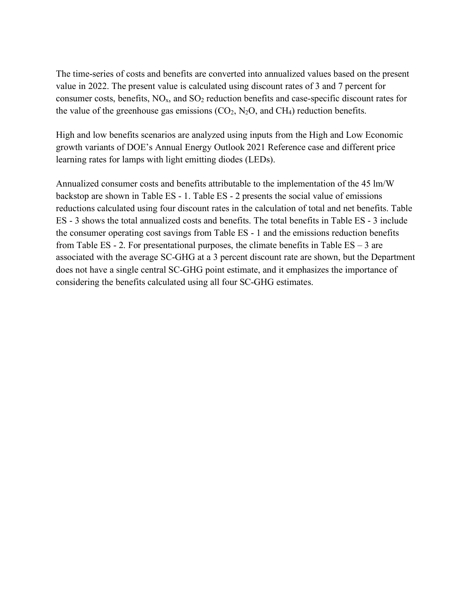The time-series of costs and benefits are converted into annualized values based on the present value in 2022. The present value is calculated using discount rates of 3 and 7 percent for consumer costs, benefits,  $NO<sub>x</sub>$ , and  $SO<sub>2</sub>$  reduction benefits and case-specific discount rates for the value of the greenhouse gas emissions  $(CO_2, N_2O,$  and  $CH_4$ ) reduction benefits.

High and low benefits scenarios are analyzed using inputs from the High and Low Economic growth variants of DOE's Annual Energy Outlook 2021 Reference case and different price learning rates for lamps with light emitting diodes (LEDs).

Annualized consumer costs and benefits attributable to the implementation of the 45 lm/W backstop are shown in Table ES - 1. Table ES - 2 presents the social value of emissions reductions calculated using four discount rates in the calculation of total and net benefits. Table ES - 3 shows the total annualized costs and benefits. The total benefits in Table ES - 3 include the consumer operating cost savings from Table ES - 1 and the emissions reduction benefits from Table ES - 2. For presentational purposes, the climate benefits in Table  $ES - 3$  are associated with the average SC-GHG at a 3 percent discount rate are shown, but the Department does not have a single central SC-GHG point estimate, and it emphasizes the importance of considering the benefits calculated using all four SC-GHG estimates.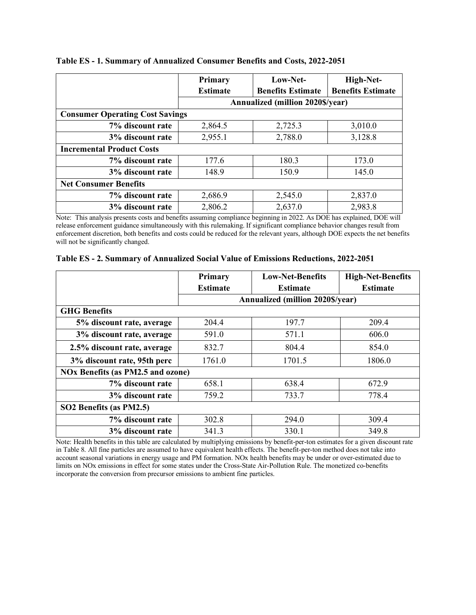|                                        | Primary         | Low-Net-                                | High-Net-                |  |  |
|----------------------------------------|-----------------|-----------------------------------------|--------------------------|--|--|
|                                        | <b>Estimate</b> | <b>Benefits Estimate</b>                | <b>Benefits Estimate</b> |  |  |
|                                        |                 | <b>Annualized (million 2020\$/year)</b> |                          |  |  |
| <b>Consumer Operating Cost Savings</b> |                 |                                         |                          |  |  |
| 7% discount rate                       | 2,864.5         | 2,725.3                                 | 3,010.0                  |  |  |
| 3% discount rate                       | 2,955.1         | 2,788.0                                 | 3,128.8                  |  |  |
| <b>Incremental Product Costs</b>       |                 |                                         |                          |  |  |
| 7% discount rate                       | 177.6           | 180.3                                   | 173.0                    |  |  |
| 3% discount rate                       | 148.9           | 150.9                                   | 145.0                    |  |  |
| <b>Net Consumer Benefits</b>           |                 |                                         |                          |  |  |
| 7% discount rate                       | 2,686.9         | 2,545.0                                 | 2,837.0                  |  |  |
| 3% discount rate                       | 2,806.2         | 2,637.0                                 | 2,983.8                  |  |  |

#### **Table ES - 1. Summary of Annualized Consumer Benefits and Costs, 2022-2051**

Note: This analysis presents costs and benefits assuming compliance beginning in 2022. As DOE has explained, DOE will release enforcement guidance simultaneously with this rulemaking. If significant compliance behavior changes result from enforcement discretion, both benefits and costs could be reduced for the relevant years, although DOE expects the net benefits will not be significantly changed.

|  |  |  |  | Table ES - 2. Summary of Annualized Social Value of Emissions Reductions, 2022-2051 |  |  |
|--|--|--|--|-------------------------------------------------------------------------------------|--|--|
|--|--|--|--|-------------------------------------------------------------------------------------|--|--|

|                                          | Primary                                 | <b>Low-Net-Benefits</b> | <b>High-Net-Benefits</b> |  |  |
|------------------------------------------|-----------------------------------------|-------------------------|--------------------------|--|--|
|                                          | <b>Estimate</b>                         | <b>Estimate</b>         | <b>Estimate</b>          |  |  |
|                                          | <b>Annualized (million 2020\$/year)</b> |                         |                          |  |  |
| <b>GHG Benefits</b>                      |                                         |                         |                          |  |  |
| 5% discount rate, average                | 204.4                                   | 197.7                   | 209.4                    |  |  |
| 3% discount rate, average                | 591.0                                   | 571.1                   | 606.0                    |  |  |
| 2.5% discount rate, average              | 832.7                                   | 804.4                   | 854.0                    |  |  |
| 3% discount rate, 95th perc              | 1761.0                                  | 1701.5                  | 1806.0                   |  |  |
| <b>NOx Benefits (as PM2.5 and ozone)</b> |                                         |                         |                          |  |  |
| 7% discount rate                         | 658.1                                   | 638.4                   | 672.9                    |  |  |
| 3% discount rate                         | 759.2                                   | 733.7                   | 778.4                    |  |  |
| SO2 Benefits (as PM2.5)                  |                                         |                         |                          |  |  |
| 7% discount rate                         | 302.8                                   | 294.0                   | 309.4                    |  |  |
| 3% discount rate                         | 341.3                                   | 330.1                   | 349.8                    |  |  |

Note: Health benefits in this table are calculated by multiplying emissions by benefit-per-ton estimates for a given discount rate i[n Table 8.](#page-31-0) All fine particles are assumed to have equivalent health effects. The benefit-per-ton method does not take into account seasonal variations in energy usage and PM formation. NOx health benefits may be under or over-estimated due to limits on NOx emissions in effect for some states under the Cross-State Air-Pollution Rule. The monetized co-benefits incorporate the conversion from precursor emissions to ambient fine particles.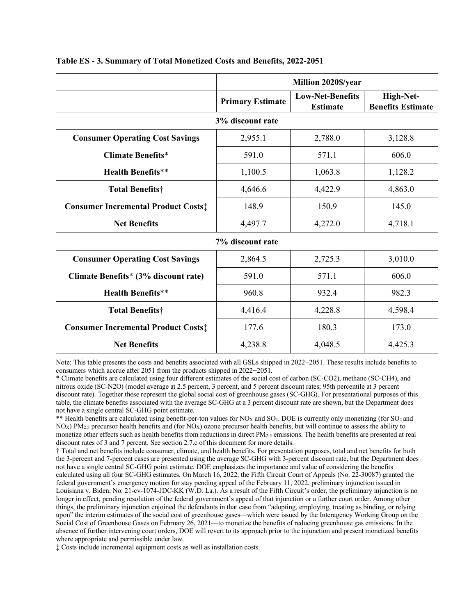|                                            | Million 2020\$/year     |                                            |                                       |
|--------------------------------------------|-------------------------|--------------------------------------------|---------------------------------------|
|                                            | <b>Primary Estimate</b> | <b>Low-Net-Benefits</b><br><b>Estimate</b> | High-Net-<br><b>Benefits Estimate</b> |
|                                            | 3% discount rate        |                                            |                                       |
| <b>Consumer Operating Cost Savings</b>     | 2,955.1                 | 2,788.0                                    | 3,128.8                               |
| <b>Climate Benefits*</b>                   | 591.0                   | 571.1                                      | 606.0                                 |
| <b>Health Benefits**</b>                   | 1,100.5                 | 1,063.8                                    | 1,128.2                               |
| Total Benefits†                            | 4,646.6                 | 4,422.9                                    | 4,863.0                               |
| <b>Consumer Incremental Product Costs:</b> | 148.9                   | 150.9                                      | 145.0                                 |
| <b>Net Benefits</b>                        | 4,497.7                 | 4,272.0                                    | 4,718.1                               |
|                                            | 7% discount rate        |                                            |                                       |
| <b>Consumer Operating Cost Savings</b>     | 2,864.5                 | 2,725.3                                    | 3,010.0                               |
| Climate Benefits* (3% discount rate)       | 591.0                   | 571.1                                      | 606.0                                 |
| <b>Health Benefits**</b>                   | 960.8                   | 932.4                                      | 982.3                                 |
| <b>Total Benefits†</b>                     | 4,416.4                 | 4,228.8                                    | 4,598.4                               |
| <b>Consumer Incremental Product Costs:</b> | 177.6                   | 180.3                                      | 173.0                                 |
| <b>Net Benefits</b>                        | 4,238.8                 | 4,048.5                                    | 4,425.3                               |

**Table ES - 3. Summary of Total Monetized Costs and Benefits, 2022-2051**

Note: This table presents the costs and benefits associated with all GSLs shipped in 2022−2051. These results include benefits to consumers which accrue after 2051 from the products shipped in 2022−2051.

\* Climate benefits are calculated using four different estimates of the social cost of carbon (SC-CO2), methane (SC-CH4), and nitrous oxide (SC-N2O) (model average at 2.5 percent, 3 percent, and 5 percent discount rates; 95th percentile at 3 percent discount rate). Together these represent the global social cost of greenhouse gases (SC-GHG). For presentational purposes of this table, the climate benefits associated with the average SC-GHG at a 3 percent discount rate are shown, but the Department does not have a single central SC-GHG point estimate.

\*\* Health benefits are calculated using benefit-per-ton values for  $NO<sub>X</sub>$  and  $SO<sub>2</sub>$ . DOE is currently only monetizing (for  $SO<sub>2</sub>$  and  $N_{\text{Ox}}$ ) PM<sub>2.5</sub> precursor health benefits and (for NO<sub>X</sub>) ozone precursor health benefits, but will continue to assess the ability to monetize other effects such as health benefits from reductions in direct PM2.5 emissions. The health benefits are presented at real discount rates of 3 and 7 percent. See section 2.7.c of this document for more details.

† Total and net benefits include consumer, climate, and health benefits. For presentation purposes, total and net benefits for both the 3-percent and 7-percent cases are presented using the average SC-GHG with 3-percent discount rate, but the Department does not have a single central SC-GHG point estimate. DOE emphasizes the importance and value of considering the benefits calculated using all four SC-GHG estimates. On March 16, 2022, the Fifth Circuit Court of Appeals (No. 22-30087) granted the federal government's emergency motion for stay pending appeal of the February 11, 2022, preliminary injunction issued in Louisiana v. Biden, No. 21-cv-1074-JDC-KK (W.D. La.). As a result of the Fifth Circuit's order, the preliminary injunction is no longer in effect, pending resolution of the federal government's appeal of that injunction or a further court order. Among other things, the preliminary injunction enjoined the defendants in that case from "adopting, employing, treating as binding, or relying upon" the interim estimates of the social cost of greenhouse gases—which were issued by the Interagency Working Group on the Social Cost of Greenhouse Gases on February 26, 2021—to monetize the benefits of reducing greenhouse gas emissions. In the absence of further intervening court orders, DOE will revert to its approach prior to the injunction and present monetized benefits where appropriate and permissible under law.

‡ Costs include incremental equipment costs as well as installation costs.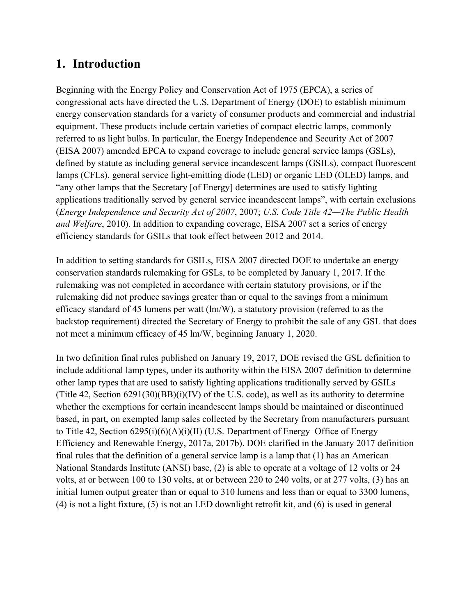## **1. Introduction**

Beginning with the Energy Policy and Conservation Act of 1975 (EPCA), a series of congressional acts have directed the U.S. Department of Energy (DOE) to establish minimum energy conservation standards for a variety of consumer products and commercial and industrial equipment. These products include certain varieties of compact electric lamps, commonly referred to as light bulbs. In particular, the Energy Independence and Security Act of 2007 (EISA 2007) amended EPCA to expand coverage to include general service lamps (GSLs), defined by statute as including general service incandescent lamps (GSILs), compact fluorescent lamps (CFLs), general service light-emitting diode (LED) or organic LED (OLED) lamps, and "any other lamps that the Secretary [of Energy] determines are used to satisfy lighting applications traditionally served by general service incandescent lamps", with certain exclusions (*Energy Independence and Security Act of 2007*, 2007; *U.S. Code Title 42—The Public Health and Welfare*, 2010). In addition to expanding coverage, EISA 2007 set a series of energy efficiency standards for GSILs that took effect between 2012 and 2014.

In addition to setting standards for GSILs, EISA 2007 directed DOE to undertake an energy conservation standards rulemaking for GSLs, to be completed by January 1, 2017. If the rulemaking was not completed in accordance with certain statutory provisions, or if the rulemaking did not produce savings greater than or equal to the savings from a minimum efficacy standard of 45 lumens per watt (lm/W), a statutory provision (referred to as the backstop requirement) directed the Secretary of Energy to prohibit the sale of any GSL that does not meet a minimum efficacy of 45 lm/W, beginning January 1, 2020.

In two definition final rules published on January 19, 2017, DOE revised the GSL definition to include additional lamp types, under its authority within the EISA 2007 definition to determine other lamp types that are used to satisfy lighting applications traditionally served by GSILs (Title 42, Section 6291(30)(BB)(i)(IV) of the U.S. code), as well as its authority to determine whether the exemptions for certain incandescent lamps should be maintained or discontinued based, in part, on exempted lamp sales collected by the Secretary from manufacturers pursuant to Title 42, Section 6295(i)(6)(A)(i)(II) (U.S. Department of Energy–Office of Energy Efficiency and Renewable Energy, 2017a, 2017b). DOE clarified in the January 2017 definition final rules that the definition of a general service lamp is a lamp that (1) has an American National Standards Institute (ANSI) base, (2) is able to operate at a voltage of 12 volts or 24 volts, at or between 100 to 130 volts, at or between 220 to 240 volts, or at 277 volts, (3) has an initial lumen output greater than or equal to 310 lumens and less than or equal to 3300 lumens, (4) is not a light fixture, (5) is not an LED downlight retrofit kit, and (6) is used in general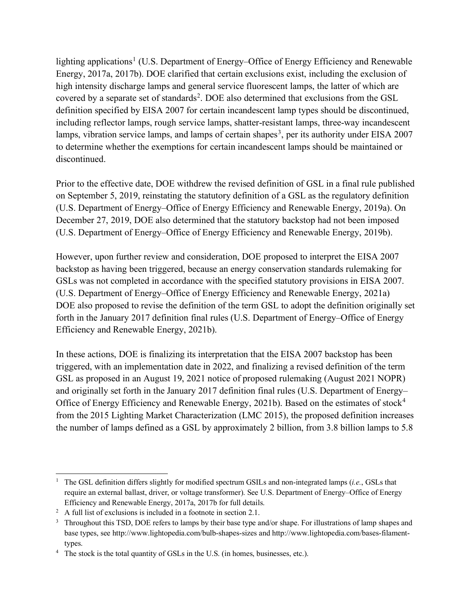lighting applications<sup>[1](#page-5-0)</sup> (U.S. Department of Energy–Office of Energy Efficiency and Renewable Energy, 2017a, 2017b). DOE clarified that certain exclusions exist, including the exclusion of high intensity discharge lamps and general service fluorescent lamps, the latter of which are covered by a separate set of standards<sup>[2](#page-5-1)</sup>. DOE also determined that exclusions from the GSL definition specified by EISA 2007 for certain incandescent lamp types should be discontinued, including reflector lamps, rough service lamps, shatter-resistant lamps, three-way incandescent lamps, vibration service lamps, and lamps of certain shapes<sup>[3](#page-5-2)</sup>, per its authority under EISA 2007 to determine whether the exemptions for certain incandescent lamps should be maintained or discontinued.

Prior to the effective date, DOE withdrew the revised definition of GSL in a final rule published on September 5, 2019, reinstating the statutory definition of a GSL as the regulatory definition (U.S. Department of Energy–Office of Energy Efficiency and Renewable Energy, 2019a). On December 27, 2019, DOE also determined that the statutory backstop had not been imposed (U.S. Department of Energy–Office of Energy Efficiency and Renewable Energy, 2019b).

However, upon further review and consideration, DOE proposed to interpret the EISA 2007 backstop as having been triggered, because an energy conservation standards rulemaking for GSLs was not completed in accordance with the specified statutory provisions in EISA 2007. (U.S. Department of Energy–Office of Energy Efficiency and Renewable Energy, 2021a) DOE also proposed to revise the definition of the term GSL to adopt the definition originally set forth in the January 2017 definition final rules (U.S. Department of Energy–Office of Energy Efficiency and Renewable Energy, 2021b).

In these actions, DOE is finalizing its interpretation that the EISA 2007 backstop has been triggered, with an implementation date in 2022, and finalizing a revised definition of the term GSL as proposed in an August 19, 2021 notice of proposed rulemaking (August 2021 NOPR) and originally set forth in the January 2017 definition final rules (U.S. Department of Energy– Office of Energy Efficiency and Renewable Energy, 2021b). Based on the estimates of stock<sup>[4](#page-5-3)</sup> from the 2015 Lighting Market Characterization (LMC 2015), the proposed definition increases the number of lamps defined as a GSL by approximately 2 billion, from 3.8 billion lamps to 5.8

<span id="page-5-0"></span><sup>1</sup> The GSL definition differs slightly for modified spectrum GSILs and non-integrated lamps (*i.e.*, GSLs that require an external ballast, driver, or voltage transformer). See U.S. Department of Energy–Office of Energy Efficiency and Renewable Energy, 2017a, 2017b for full details.

<span id="page-5-1"></span><sup>&</sup>lt;sup>2</sup> A full list of exclusions is included in a footnote in sectio[n 2.1.](#page-7-0)

<span id="page-5-2"></span><sup>&</sup>lt;sup>3</sup> Throughout this TSD, DOE refers to lamps by their base type and/or shape. For illustrations of lamp shapes and base types, see http://www.lightopedia.com/bulb-shapes-sizes and http://www.lightopedia.com/bases-filamenttypes.

<span id="page-5-3"></span><sup>&</sup>lt;sup>4</sup> The stock is the total quantity of GSLs in the U.S. (in homes, businesses, etc.).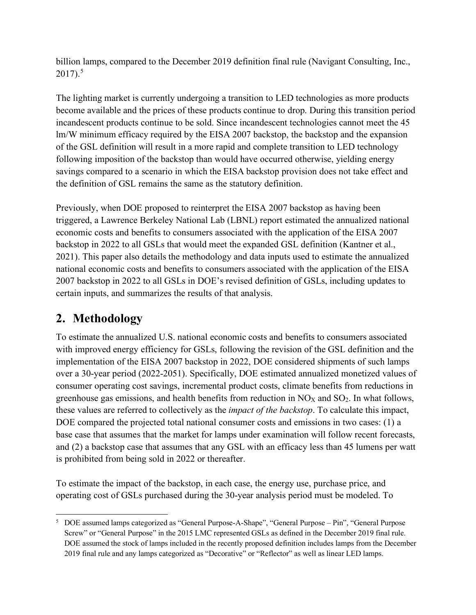billion lamps, compared to the December 2019 definition final rule (Navigant Consulting, Inc., 2017). [5](#page-6-0)

The lighting market is currently undergoing a transition to LED technologies as more products become available and the prices of these products continue to drop. During this transition period incandescent products continue to be sold. Since incandescent technologies cannot meet the 45 lm/W minimum efficacy required by the EISA 2007 backstop, the backstop and the expansion of the GSL definition will result in a more rapid and complete transition to LED technology following imposition of the backstop than would have occurred otherwise, yielding energy savings compared to a scenario in which the EISA backstop provision does not take effect and the definition of GSL remains the same as the statutory definition.

Previously, when DOE proposed to reinterpret the EISA 2007 backstop as having been triggered, a Lawrence Berkeley National Lab (LBNL) report estimated the annualized national economic costs and benefits to consumers associated with the application of the EISA 2007 backstop in 2022 to all GSLs that would meet the expanded GSL definition (Kantner et al., 2021). This paper also details the methodology and data inputs used to estimate the annualized national economic costs and benefits to consumers associated with the application of the EISA 2007 backstop in 2022 to all GSLs in DOE's revised definition of GSLs, including updates to certain inputs, and summarizes the results of that analysis.

# **2. Methodology**

To estimate the annualized U.S. national economic costs and benefits to consumers associated with improved energy efficiency for GSLs, following the revision of the GSL definition and the implementation of the EISA 2007 backstop in 2022, DOE considered shipments of such lamps over a 30-year period (2022-2051). Specifically, DOE estimated annualized monetized values of consumer operating cost savings, incremental product costs, climate benefits from reductions in greenhouse gas emissions, and health benefits from reduction in  $NO<sub>X</sub>$  and  $SO<sub>2</sub>$ . In what follows, these values are referred to collectively as the *impact of the backstop*. To calculate this impact, DOE compared the projected total national consumer costs and emissions in two cases: (1) a base case that assumes that the market for lamps under examination will follow recent forecasts, and (2) a backstop case that assumes that any GSL with an efficacy less than 45 lumens per watt is prohibited from being sold in 2022 or thereafter.

To estimate the impact of the backstop, in each case, the energy use, purchase price, and operating cost of GSLs purchased during the 30-year analysis period must be modeled. To

<span id="page-6-0"></span><sup>5</sup> DOE assumed lamps categorized as "General Purpose-A-Shape", "General Purpose – Pin", "General Purpose Screw" or "General Purpose" in the 2015 LMC represented GSLs as defined in the December 2019 final rule. DOE assumed the stock of lamps included in the recently proposed definition includes lamps from the December 2019 final rule and any lamps categorized as "Decorative" or "Reflector" as well as linear LED lamps.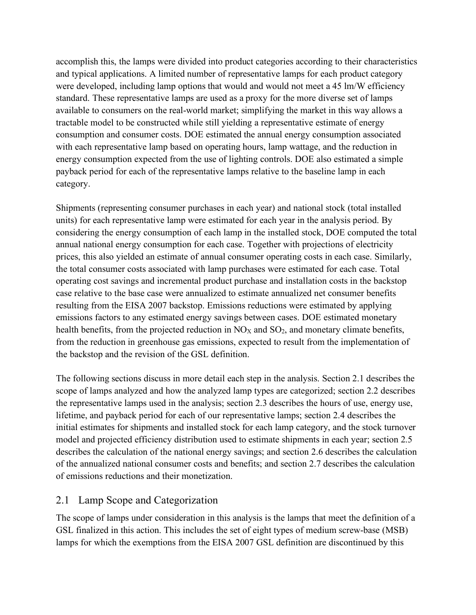accomplish this, the lamps were divided into product categories according to their characteristics and typical applications. A limited number of representative lamps for each product category were developed, including lamp options that would and would not meet a 45 lm/W efficiency standard. These representative lamps are used as a proxy for the more diverse set of lamps available to consumers on the real-world market; simplifying the market in this way allows a tractable model to be constructed while still yielding a representative estimate of energy consumption and consumer costs. DOE estimated the annual energy consumption associated with each representative lamp based on operating hours, lamp wattage, and the reduction in energy consumption expected from the use of lighting controls. DOE also estimated a simple payback period for each of the representative lamps relative to the baseline lamp in each category.

Shipments (representing consumer purchases in each year) and national stock (total installed units) for each representative lamp were estimated for each year in the analysis period. By considering the energy consumption of each lamp in the installed stock, DOE computed the total annual national energy consumption for each case. Together with projections of electricity prices, this also yielded an estimate of annual consumer operating costs in each case. Similarly, the total consumer costs associated with lamp purchases were estimated for each case. Total operating cost savings and incremental product purchase and installation costs in the backstop case relative to the base case were annualized to estimate annualized net consumer benefits resulting from the EISA 2007 backstop. Emissions reductions were estimated by applying emissions factors to any estimated energy savings between cases. DOE estimated monetary health benefits, from the projected reduction in  $NO<sub>X</sub>$  and  $SO<sub>2</sub>$ , and monetary climate benefits, from the reduction in greenhouse gas emissions, expected to result from the implementation of the backstop and the revision of the GSL definition.

The following sections discuss in more detail each step in the analysis. Section [2.1](#page-7-0) describes the scope of lamps analyzed and how the analyzed lamp types are categorized; section [2.2](#page-9-0) describes the representative lamps used in the analysis; section [2.3](#page-12-0) describes the hours of use, energy use, lifetime, and payback period for each of our representative lamps; section [2.4](#page-16-0) describes the initial estimates for shipments and installed stock for each lamp category, and the stock turnover model and projected efficiency distribution used to estimate shipments in each year; section [2.5](#page-19-0) describes the calculation of the national energy savings; and section [2.6](#page-21-0) describes the calculation of the annualized national consumer costs and benefits; and section [2.7](#page-22-0) describes the calculation of emissions reductions and their monetization.

### <span id="page-7-0"></span>2.1 Lamp Scope and Categorization

The scope of lamps under consideration in this analysis is the lamps that meet the definition of a GSL finalized in this action. This includes the set of eight types of medium screw-base (MSB) lamps for which the exemptions from the EISA 2007 GSL definition are discontinued by this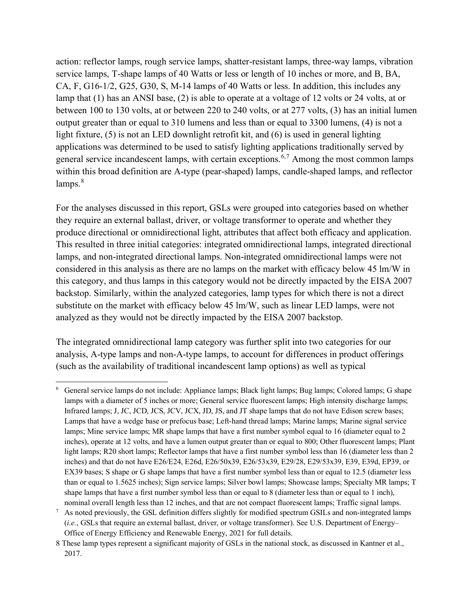action: reflector lamps, rough service lamps, shatter-resistant lamps, three-way lamps, vibration service lamps, T-shape lamps of 40 Watts or less or length of 10 inches or more, and B, BA, CA, F, G16-1/2, G25, G30, S, M-14 lamps of 40 Watts or less. In addition, this includes any lamp that (1) has an ANSI base, (2) is able to operate at a voltage of 12 volts or 24 volts, at or between 100 to 130 volts, at or between 220 to 240 volts, or at 277 volts, (3) has an initial lumen output greater than or equal to 310 lumens and less than or equal to 3300 lumens, (4) is not a light fixture, (5) is not an LED downlight retrofit kit, and (6) is used in general lighting applications was determined to be used to satisfy lighting applications traditionally served by general service incandescent lamps, with certain exceptions.<sup>[6,](#page-8-0)[7](#page-8-1)</sup> Among the most common lamps within this broad definition are A-type (pear-shaped) lamps, candle-shaped lamps, and reflector  $lamps.<sup>8</sup>$  $lamps.<sup>8</sup>$  $lamps.<sup>8</sup>$ 

For the analyses discussed in this report, GSLs were grouped into categories based on whether they require an external ballast, driver, or voltage transformer to operate and whether they produce directional or omnidirectional light, attributes that affect both efficacy and application. This resulted in three initial categories: integrated omnidirectional lamps, integrated directional lamps, and non-integrated directional lamps. Non-integrated omnidirectional lamps were not considered in this analysis as there are no lamps on the market with efficacy below 45 lm/W in this category, and thus lamps in this category would not be directly impacted by the EISA 2007 backstop. Similarly, within the analyzed categories, lamp types for which there is not a direct substitute on the market with efficacy below 45 lm/W, such as linear LED lamps, were not analyzed as they would not be directly impacted by the EISA 2007 backstop.

The integrated omnidirectional lamp category was further split into two categories for our analysis, A-type lamps and non-A-type lamps, to account for differences in product offerings (such as the availability of traditional incandescent lamp options) as well as typical

<span id="page-8-0"></span><sup>6</sup> General service lamps do not include: Appliance lamps; Black light lamps; Bug lamps; Colored lamps; G shape lamps with a diameter of 5 inches or more; General service fluorescent lamps; High intensity discharge lamps; Infrared lamps; J, JC, JCD, JCS, JCV, JCX, JD, JS, and JT shape lamps that do not have Edison screw bases; Lamps that have a wedge base or prefocus base; Left-hand thread lamps; Marine lamps; Marine signal service lamps; Mine service lamps; MR shape lamps that have a first number symbol equal to 16 (diameter equal to 2 inches), operate at 12 volts, and have a lumen output greater than or equal to 800; Other fluorescent lamps; Plant light lamps; R20 short lamps; Reflector lamps that have a first number symbol less than 16 (diameter less than 2 inches) and that do not have E26/E24, E26d, E26/50x39, E26/53x39, E29/28, E29/53x39, E39, E39d, EP39, or EX39 bases; S shape or G shape lamps that have a first number symbol less than or equal to 12.5 (diameter less than or equal to 1.5625 inches); Sign service lamps; Silver bowl lamps; Showcase lamps; Specialty MR lamps; T shape lamps that have a first number symbol less than or equal to 8 (diameter less than or equal to 1 inch), nominal overall length less than 12 inches, and that are not compact fluorescent lamps; Traffic signal lamps.

<span id="page-8-1"></span><sup>&</sup>lt;sup>7</sup> As noted previously, the GSL definition differs slightly for modified spectrum GSILs and non-integrated lamps (*i.e.*, GSLs that require an external ballast, driver, or voltage transformer). See U.S. Department of Energy– Office of Energy Efficiency and Renewable Energy, 2021 for full details.

<span id="page-8-2"></span><sup>8</sup> These lamp types represent a significant majority of GSLs in the national stock, as discussed in Kantner et al., 2017.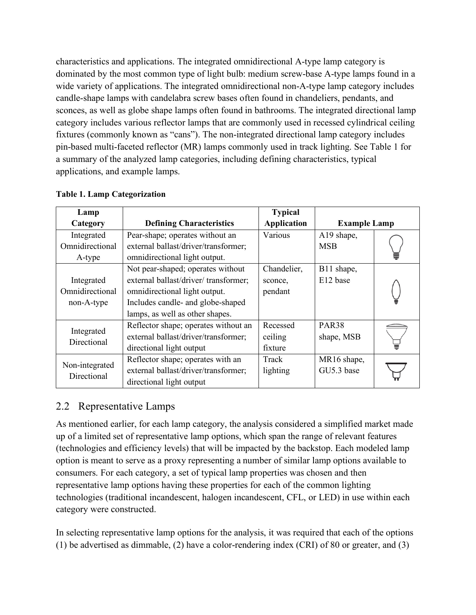characteristics and applications. The integrated omnidirectional A-type lamp category is dominated by the most common type of light bulb: medium screw-base A-type lamps found in a wide variety of applications. The integrated omnidirectional non-A-type lamp category includes candle-shape lamps with candelabra screw bases often found in chandeliers, pendants, and sconces, as well as globe shape lamps often found in bathrooms. The integrated directional lamp category includes various reflector lamps that are commonly used in recessed cylindrical ceiling fixtures (commonly known as "cans"). The non-integrated directional lamp category includes pin-based multi-faceted reflector (MR) lamps commonly used in track lighting. See [Table 1](#page-9-1) for a summary of the analyzed lamp categories, including defining characteristics, typical applications, and example lamps.

| Lamp            |                                      | <b>Typical</b>     |                     |  |
|-----------------|--------------------------------------|--------------------|---------------------|--|
| Category        | <b>Defining Characteristics</b>      | <b>Application</b> | <b>Example Lamp</b> |  |
| Integrated      | Pear-shape; operates without an      | Various            | A19 shape,          |  |
| Omnidirectional | external ballast/driver/transformer; |                    | <b>MSB</b>          |  |
| A-type          | omnidirectional light output.        |                    |                     |  |
|                 | Not pear-shaped; operates without    | Chandelier,        | B11 shape,          |  |
| Integrated      | external ballast/driver/transformer; | sconce,            | E12 base            |  |
| Omnidirectional | omnidirectional light output.        |                    |                     |  |
| non-A-type      | Includes candle- and globe-shaped    |                    |                     |  |
|                 | lamps, as well as other shapes.      |                    |                     |  |
| Integrated      | Reflector shape; operates without an | Recessed           | PAR <sub>38</sub>   |  |
| Directional     | external ballast/driver/transformer; | ceiling            | shape, MSB          |  |
|                 | directional light output             | fixture            |                     |  |
| Non-integrated  | Reflector shape; operates with an    | Track              | MR16 shape,         |  |
| Directional     | external ballast/driver/transformer; | lighting           | GU5.3 base          |  |
|                 | directional light output             |                    |                     |  |

### <span id="page-9-1"></span>**Table 1. Lamp Categorization**

### <span id="page-9-0"></span>2.2 Representative Lamps

As mentioned earlier, for each lamp category, the analysis considered a simplified market made up of a limited set of representative lamp options, which span the range of relevant features (technologies and efficiency levels) that will be impacted by the backstop. Each modeled lamp option is meant to serve as a proxy representing a number of similar lamp options available to consumers. For each category, a set of typical lamp properties was chosen and then representative lamp options having these properties for each of the common lighting technologies (traditional incandescent, halogen incandescent, CFL, or LED) in use within each category were constructed.

In selecting representative lamp options for the analysis, it was required that each of the options (1) be advertised as dimmable, (2) have a color-rendering index (CRI) of 80 or greater, and (3)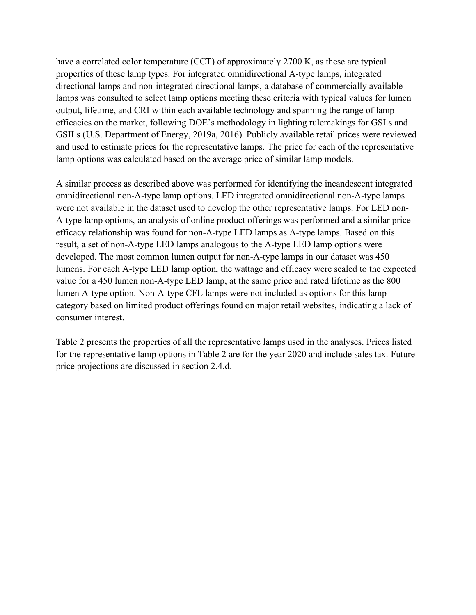have a correlated color temperature (CCT) of approximately 2700 K, as these are typical properties of these lamp types. For integrated omnidirectional A-type lamps, integrated directional lamps and non-integrated directional lamps, a database of commercially available lamps was consulted to select lamp options meeting these criteria with typical values for lumen output, lifetime, and CRI within each available technology and spanning the range of lamp efficacies on the market, following DOE's methodology in lighting rulemakings for GSLs and GSILs (U.S. Department of Energy, 2019a, 2016). Publicly available retail prices were reviewed and used to estimate prices for the representative lamps. The price for each of the representative lamp options was calculated based on the average price of similar lamp models.

A similar process as described above was performed for identifying the incandescent integrated omnidirectional non-A-type lamp options. LED integrated omnidirectional non-A-type lamps were not available in the dataset used to develop the other representative lamps. For LED non-A-type lamp options, an analysis of online product offerings was performed and a similar priceefficacy relationship was found for non-A-type LED lamps as A-type lamps. Based on this result, a set of non-A-type LED lamps analogous to the A-type LED lamp options were developed. The most common lumen output for non-A-type lamps in our dataset was 450 lumens. For each A-type LED lamp option, the wattage and efficacy were scaled to the expected value for a 450 lumen non-A-type LED lamp, at the same price and rated lifetime as the 800 lumen A-type option. Non-A-type CFL lamps were not included as options for this lamp category based on limited product offerings found on major retail websites, indicating a lack of consumer interest.

[Table 2](#page-11-0) presents the properties of all the representative lamps used in the analyses. Prices listed for the representative lamp options in [Table 2](#page-11-0) are for the year 2020 and include sales tax. Future price projections are discussed in section 2.4.d.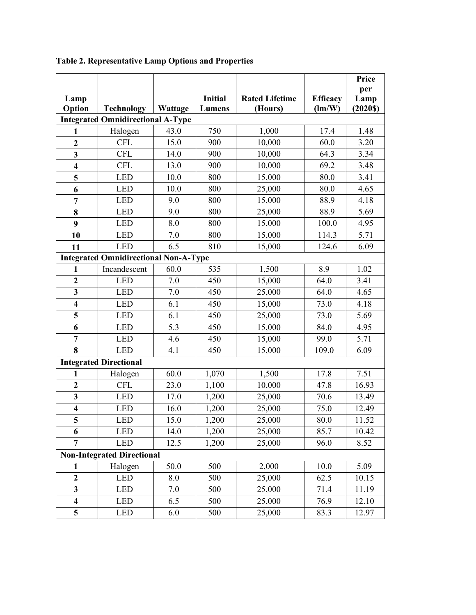|                                   |                                              |         |                |                       |                      | Price   |
|-----------------------------------|----------------------------------------------|---------|----------------|-----------------------|----------------------|---------|
|                                   |                                              |         |                |                       |                      | per     |
| Lamp                              |                                              |         | <b>Initial</b> | <b>Rated Lifetime</b> | <b>Efficacy</b>      | Lamp    |
| Option                            | <b>Technology</b>                            | Wattage | <b>Lumens</b>  | (Hours)               | $\text{Im}/\text{W}$ | (2020S) |
|                                   | <b>Integrated Omnidirectional A-Type</b>     |         |                |                       |                      |         |
| 1                                 | Halogen                                      | 43.0    | 750            | 1,000                 | 17.4                 | 1.48    |
| $\overline{2}$                    | <b>CFL</b>                                   | 15.0    | 900            | 10,000                | 60.0                 | 3.20    |
| 3                                 | <b>CFL</b>                                   | 14.0    | 900            | 10,000                | 64.3                 | 3.34    |
| $\overline{\mathbf{4}}$           | <b>CFL</b>                                   | 13.0    | 900            | 10,000                | 69.2                 | 3.48    |
| $\overline{\mathbf{5}}$           | <b>LED</b>                                   | 10.0    | 800            | 15,000                | 80.0                 | 3.41    |
| 6                                 | <b>LED</b>                                   | 10.0    | 800            | 25,000                | 80.0                 | 4.65    |
| $\overline{7}$                    | <b>LED</b>                                   | 9.0     | 800            | 15,000                | 88.9                 | 4.18    |
| 8                                 | <b>LED</b>                                   | 9.0     | 800            | 25,000                | 88.9                 | 5.69    |
| $\boldsymbol{9}$                  | <b>LED</b>                                   | 8.0     | 800            | 15,000                | 100.0                | 4.95    |
| 10                                | <b>LED</b>                                   | 7.0     | 800            | 15,000                | 114.3                | 5.71    |
| 11                                | <b>LED</b>                                   | 6.5     | 810            | 15,000                | 124.6                | 6.09    |
|                                   | <b>Integrated Omnidirectional Non-A-Type</b> |         |                |                       |                      |         |
| $\mathbf{1}$                      | Incandescent                                 | 60.0    | 535            | 1,500                 | 8.9                  | 1.02    |
| $\boldsymbol{2}$                  | <b>LED</b>                                   | 7.0     | 450            | 15,000                | 64.0                 | 3.41    |
| $\mathbf{3}$                      | <b>LED</b>                                   | 7.0     | 450            | 25,000                | 64.0                 | 4.65    |
| $\overline{\mathbf{4}}$           | <b>LED</b>                                   | 6.1     | 450            | 15,000                | 73.0                 | 4.18    |
| 5                                 | <b>LED</b>                                   | 6.1     | 450            | 25,000                | 73.0                 | 5.69    |
| 6                                 | <b>LED</b>                                   | 5.3     | 450            | 15,000                | 84.0                 | 4.95    |
| $\overline{7}$                    | <b>LED</b>                                   | 4.6     | 450            | 15,000                | 99.0                 | 5.71    |
| 8                                 | <b>LED</b>                                   | 4.1     | 450            | 15,000                | 109.0                | 6.09    |
|                                   | <b>Integrated Directional</b>                |         |                |                       |                      |         |
| 1                                 | Halogen                                      | 60.0    | 1,070          | 1,500                 | 17.8                 | 7.51    |
| $\overline{2}$                    | <b>CFL</b>                                   | 23.0    | 1,100          | 10,000                | 47.8                 | 16.93   |
| $\mathbf{3}$                      | <b>LED</b>                                   | 17.0    | 1,200          | 25,000                | 70.6                 | 13.49   |
| $\overline{\mathbf{4}}$           | <b>LED</b>                                   | 16.0    | 1,200          | 25,000                | 75.0                 | 12.49   |
| 5                                 | <b>LED</b>                                   | 15.0    | 1,200          | 25,000                | 80.0                 | 11.52   |
| 6                                 | <b>LED</b>                                   | 14.0    | 1,200          | 25,000                | 85.7                 | 10.42   |
| $\overline{7}$                    | <b>LED</b>                                   | 12.5    | 1,200          | 25,000                | 96.0                 | 8.52    |
| <b>Non-Integrated Directional</b> |                                              |         |                |                       |                      |         |
| 1                                 | Halogen                                      | 50.0    | 500            | 2,000                 | 10.0                 | 5.09    |
| $\overline{2}$                    | <b>LED</b>                                   | 8.0     | 500            | 25,000                | 62.5                 | 10.15   |
| $\mathbf{3}$                      | <b>LED</b>                                   | 7.0     | 500            | 25,000                | 71.4                 | 11.19   |
| $\overline{\mathbf{4}}$           | <b>LED</b>                                   | 6.5     | 500            | 25,000                | 76.9                 | 12.10   |
| 5                                 | <b>LED</b>                                   | 6.0     | 500            | 25,000                | 83.3                 | 12.97   |

## <span id="page-11-0"></span>**Table 2. Representative Lamp Options and Properties**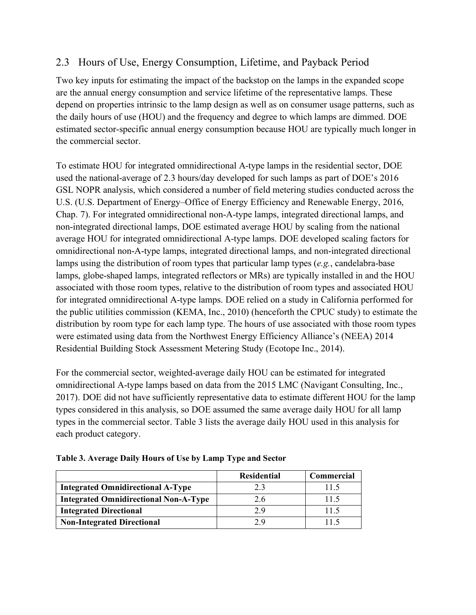## <span id="page-12-0"></span>2.3 Hours of Use, Energy Consumption, Lifetime, and Payback Period

Two key inputs for estimating the impact of the backstop on the lamps in the expanded scope are the annual energy consumption and service lifetime of the representative lamps. These depend on properties intrinsic to the lamp design as well as on consumer usage patterns, such as the daily hours of use (HOU) and the frequency and degree to which lamps are dimmed. DOE estimated sector-specific annual energy consumption because HOU are typically much longer in the commercial sector.

To estimate HOU for integrated omnidirectional A-type lamps in the residential sector, DOE used the national-average of 2.3 hours/day developed for such lamps as part of DOE's 2016 GSL NOPR analysis, which considered a number of field metering studies conducted across the U.S. (U.S. Department of Energy–Office of Energy Efficiency and Renewable Energy, 2016, Chap. 7). For integrated omnidirectional non-A-type lamps, integrated directional lamps, and non-integrated directional lamps, DOE estimated average HOU by scaling from the national average HOU for integrated omnidirectional A-type lamps. DOE developed scaling factors for omnidirectional non-A-type lamps, integrated directional lamps, and non-integrated directional lamps using the distribution of room types that particular lamp types (*e.g.*, candelabra-base lamps, globe-shaped lamps, integrated reflectors or MRs) are typically installed in and the HOU associated with those room types, relative to the distribution of room types and associated HOU for integrated omnidirectional A-type lamps. DOE relied on a study in California performed for the public utilities commission (KEMA, Inc., 2010) (henceforth the CPUC study) to estimate the distribution by room type for each lamp type. The hours of use associated with those room types were estimated using data from the Northwest Energy Efficiency Alliance's (NEEA) 2014 Residential Building Stock Assessment Metering Study (Ecotope Inc., 2014).

For the commercial sector, weighted-average daily HOU can be estimated for integrated omnidirectional A-type lamps based on data from the 2015 LMC (Navigant Consulting, Inc., 2017). DOE did not have sufficiently representative data to estimate different HOU for the lamp types considered in this analysis, so DOE assumed the same average daily HOU for all lamp types in the commercial sector. [Table 3](#page-12-1) lists the average daily HOU used in this analysis for each product category.

|                                              | <b>Residential</b> | <b>Commercial</b> |
|----------------------------------------------|--------------------|-------------------|
| <b>Integrated Omnidirectional A-Type</b>     | 2.3                | 11.5              |
| <b>Integrated Omnidirectional Non-A-Type</b> | 2.6                | 11.5              |
| <b>Integrated Directional</b>                | 2.9                | 11.5              |
| <b>Non-Integrated Directional</b>            | 2 Q                | 115               |

<span id="page-12-1"></span>**Table 3. Average Daily Hours of Use by Lamp Type and Sector**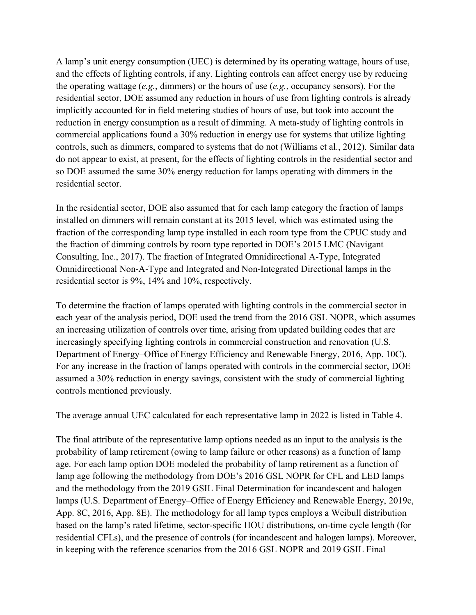A lamp's unit energy consumption (UEC) is determined by its operating wattage, hours of use, and the effects of lighting controls, if any. Lighting controls can affect energy use by reducing the operating wattage (*e.g.*, dimmers) or the hours of use (*e.g.*, occupancy sensors). For the residential sector, DOE assumed any reduction in hours of use from lighting controls is already implicitly accounted for in field metering studies of hours of use, but took into account the reduction in energy consumption as a result of dimming. A meta-study of lighting controls in commercial applications found a 30% reduction in energy use for systems that utilize lighting controls, such as dimmers, compared to systems that do not (Williams et al., 2012). Similar data do not appear to exist, at present, for the effects of lighting controls in the residential sector and so DOE assumed the same 30% energy reduction for lamps operating with dimmers in the residential sector.

In the residential sector, DOE also assumed that for each lamp category the fraction of lamps installed on dimmers will remain constant at its 2015 level, which was estimated using the fraction of the corresponding lamp type installed in each room type from the CPUC study and the fraction of dimming controls by room type reported in DOE's 2015 LMC (Navigant Consulting, Inc., 2017). The fraction of Integrated Omnidirectional A-Type, Integrated Omnidirectional Non-A-Type and Integrated and Non-Integrated Directional lamps in the residential sector is 9%, 14% and 10%, respectively.

To determine the fraction of lamps operated with lighting controls in the commercial sector in each year of the analysis period, DOE used the trend from the 2016 GSL NOPR, which assumes an increasing utilization of controls over time, arising from updated building codes that are increasingly specifying lighting controls in commercial construction and renovation (U.S. Department of Energy–Office of Energy Efficiency and Renewable Energy, 2016, App. 10C). For any increase in the fraction of lamps operated with controls in the commercial sector, DOE assumed a 30% reduction in energy savings, consistent with the study of commercial lighting controls mentioned previously.

The average annual UEC calculated for each representative lamp in 2022 is listed in [Table 4.](#page-15-0)

The final attribute of the representative lamp options needed as an input to the analysis is the probability of lamp retirement (owing to lamp failure or other reasons) as a function of lamp age. For each lamp option DOE modeled the probability of lamp retirement as a function of lamp age following the methodology from DOE's 2016 GSL NOPR for CFL and LED lamps and the methodology from the 2019 GSIL Final Determination for incandescent and halogen lamps (U.S. Department of Energy–Office of Energy Efficiency and Renewable Energy, 2019c, App. 8C, 2016, App. 8E). The methodology for all lamp types employs a Weibull distribution based on the lamp's rated lifetime, sector-specific HOU distributions, on-time cycle length (for residential CFLs), and the presence of controls (for incandescent and halogen lamps). Moreover, in keeping with the reference scenarios from the 2016 GSL NOPR and 2019 GSIL Final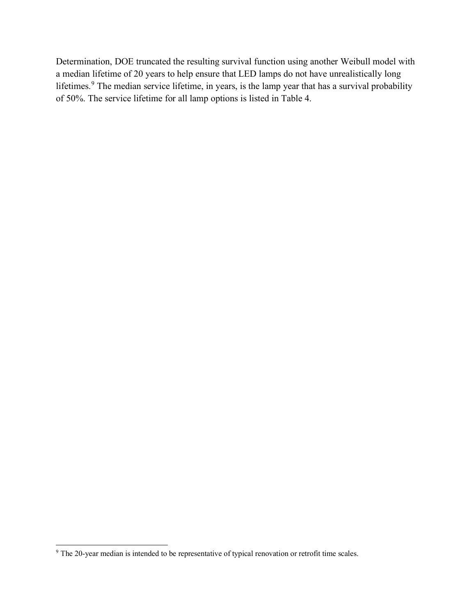Determination, DOE truncated the resulting survival function using another Weibull model with a median lifetime of 20 years to help ensure that LED lamps do not have unrealistically long lifetimes.<sup>[9](#page-14-0)</sup> The median service lifetime, in years, is the lamp year that has a survival probability of 50%. The service lifetime for all lamp options is listed in [Table 4.](#page-15-0)

<span id="page-14-0"></span><sup>&</sup>lt;sup>9</sup> The 20-year median is intended to be representative of typical renovation or retrofit time scales.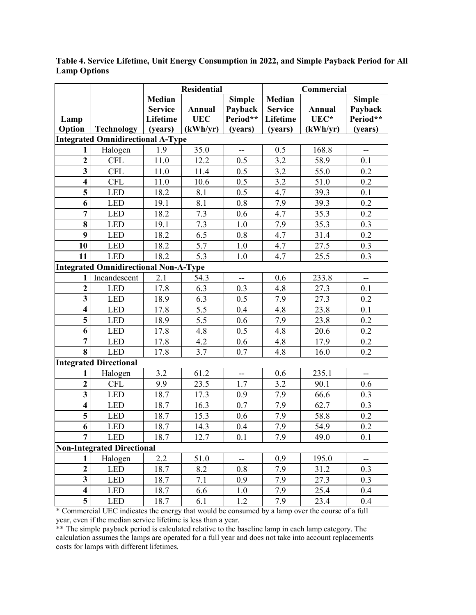**Lamp Option Technology Residential Commercial Median Service Lifetime (years) Annual UEC (kWh/yr) Simple Payback Period\*\* (years) Median Service Lifetime (years) Annual UEC\* (kWh/yr) Simple Payback Period\*\* (years) Integrated Omnidirectional A-Type 1** Halogen 1.9 35.0 - 0.5 168.8 -**2** CFL 11.0 12.2 0.5 3.2 58.9 0.1 **3** CFL 11.0 11.4 0.5 3.2 55.0 0.2 **4 CFL** 11.0 10.6 0.5 3.2 51.0 0.2 **5** LED 18.2 8.1 0.5 4.7 39.3 0.1 **6** LED 19.1 8.1 0.8 7.9 39.3 0.2 **7** LED 18.2 7.3 0.6 4.7 35.3 0.2 **8** LED 19.1 7.3 1.0 7.9 35.3 0.3 **9** LED 18.2 6.5 0.8 4.7 31.4 0.2 **10** LED 18.2 5.7 1.0 4.7 27.5 0.3 **11** LED 18.2 5.3 1.0 4.7 25.5 0.3 **Integrated Omnidirectional Non-A-Type** 1 | Incandescent | 2.1 | 54.3 | -- | 0.6 | 233.8 | --**2** | LED | 17.8 | 6.3 | 0.3 | 4.8 | 27.3 | 0.1 **3** LED 18.9 6.3 0.5 7.9 27.3 0.2 **4** LED 17.8 5.5 0.4 4.8 23.8 0.1 **5** LED 18.9 5.5 0.6 7.9 23.8 0.2 **6** LED 17.8 4.8 0.5 4.8 20.6 0.2 **7** LED 17.8 4.2 0.6 4.8 17.9 0.2 **8** LED 17.8 3.7 0.7 4.8 16.0 0.2 **Integrated Directional 1** Halogen | 3.2 | 61.2 | -- | 0.6 | 235.1 | --**2** CFL 9.9 23.5 1.7 3.2 90.1 0.6 **3** LED 18.7 17.3 0.9 7.9 66.6 0.3 **4** LED 18.7 16.3 0.7 7.9 62.7 0.3 **5** LED 18.7 15.3 0.6 7.9 58.8 0.2 **6** LED 18.7 14.3 0.4 7.9 54.9 0.2 **7** LED 18.7 12.7 0.1 7.9 49.0 0.1 **Non-Integrated Directional 1** Halogen 2.2 51.0 - 0.9 195.0 **2** | LED | 18.7 | 8.2 | 0.8 | 7.9 | 31.2 | 0.3 **3** LED 18.7 7.1 0.9 7.9 27.3 0.3 **4** LED 18.7 6.6 1.0 7.9 25.4 0.4 **5** LED 18.7 6.1 1.2 7.9 23.4 0.4

<span id="page-15-0"></span>**Table 4. Service Lifetime, Unit Energy Consumption in 2022, and Simple Payback Period for All Lamp Options**

\* Commercial UEC indicates the energy that would be consumed by a lamp over the course of a full year, even if the median service lifetime is less than a year.

\*\* The simple payback period is calculated relative to the baseline lamp in each lamp category. The calculation assumes the lamps are operated for a full year and does not take into account replacements costs for lamps with different lifetimes.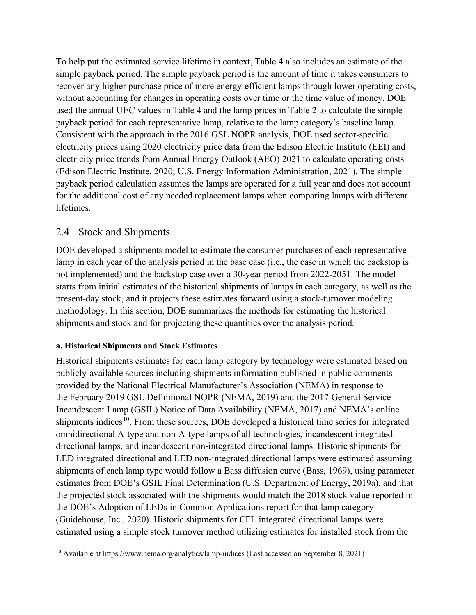To help put the estimated service lifetime in context, [Table 4](#page-15-0) also includes an estimate of the simple payback period. The simple payback period is the amount of time it takes consumers to recover any higher purchase price of more energy-efficient lamps through lower operating costs, without accounting for changes in operating costs over time or the time value of money. DOE used the annual UEC values in [Table 4](#page-15-0) and the lamp prices in [Table 2](#page-11-0) to calculate the simple payback period for each representative lamp, relative to the lamp category's baseline lamp. Consistent with the approach in the 2016 GSL NOPR analysis, DOE used sector-specific electricity prices using 2020 electricity price data from the Edison Electric Institute (EEI) and electricity price trends from Annual Energy Outlook (AEO) 2021 to calculate operating costs (Edison Electric Institute, 2020; U.S. Energy Information Administration, 2021). The simple payback period calculation assumes the lamps are operated for a full year and does not account for the additional cost of any needed replacement lamps when comparing lamps with different lifetimes.

## <span id="page-16-0"></span>2.4 Stock and Shipments

DOE developed a shipments model to estimate the consumer purchases of each representative lamp in each year of the analysis period in the base case (i.e., the case in which the backstop is not implemented) and the backstop case over a 30-year period from 2022-2051. The model starts from initial estimates of the historical shipments of lamps in each category, as well as the present-day stock, and it projects these estimates forward using a stock-turnover modeling methodology. In this section, DOE summarizes the methods for estimating the historical shipments and stock and for projecting these quantities over the analysis period.

### **a. Historical Shipments and Stock Estimates**

Historical shipments estimates for each lamp category by technology were estimated based on publicly-available sources including shipments information published in public comments provided by the National Electrical Manufacturer's Association (NEMA) in response to the February 2019 GSL Definitional NOPR (NEMA, 2019) and the 2017 General Service Incandescent Lamp (GSIL) Notice of Data Availability (NEMA, 2017) and NEMA's online shipments indices<sup>[10](#page-16-1)</sup>. From these sources, DOE developed a historical time series for integrated omnidirectional A-type and non-A-type lamps of all technologies, incandescent integrated directional lamps, and incandescent non-integrated directional lamps. Historic shipments for LED integrated directional and LED non-integrated directional lamps were estimated assuming shipments of each lamp type would follow a Bass diffusion curve (Bass, 1969), using parameter estimates from DOE's GSIL Final Determination (U.S. Department of Energy, 2019a), and that the projected stock associated with the shipments would match the 2018 stock value reported in the DOE's Adoption of LEDs in Common Applications report for that lamp category (Guidehouse, Inc., 2020). Historic shipments for CFL integrated directional lamps were estimated using a simple stock turnover method utilizing estimates for installed stock from the

<span id="page-16-1"></span><sup>&</sup>lt;sup>10</sup> Available a[t https://www.nema.org/analytics/lamp-indices](https://www.nema.org/analytics/lamp-indices) (Last accessed on September 8, 2021)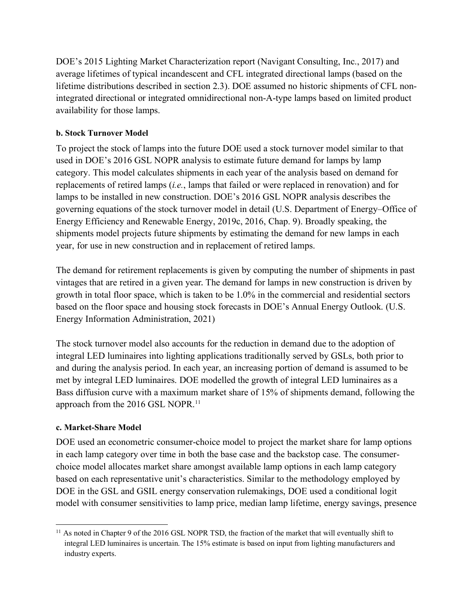DOE's 2015 Lighting Market Characterization report (Navigant Consulting, Inc., 2017) and average lifetimes of typical incandescent and CFL integrated directional lamps (based on the lifetime distributions described in section [2.3\)](#page-12-0). DOE assumed no historic shipments of CFL nonintegrated directional or integrated omnidirectional non-A-type lamps based on limited product availability for those lamps.

#### **b. Stock Turnover Model**

To project the stock of lamps into the future DOE used a stock turnover model similar to that used in DOE's 2016 GSL NOPR analysis to estimate future demand for lamps by lamp category. This model calculates shipments in each year of the analysis based on demand for replacements of retired lamps (*i.e.*, lamps that failed or were replaced in renovation) and for lamps to be installed in new construction. DOE's 2016 GSL NOPR analysis describes the governing equations of the stock turnover model in detail (U.S. Department of Energy–Office of Energy Efficiency and Renewable Energy, 2019c, 2016, Chap. 9). Broadly speaking, the shipments model projects future shipments by estimating the demand for new lamps in each year, for use in new construction and in replacement of retired lamps.

The demand for retirement replacements is given by computing the number of shipments in past vintages that are retired in a given year. The demand for lamps in new construction is driven by growth in total floor space, which is taken to be 1.0% in the commercial and residential sectors based on the floor space and housing stock forecasts in DOE's Annual Energy Outlook. (U.S. Energy Information Administration, 2021)

The stock turnover model also accounts for the reduction in demand due to the adoption of integral LED luminaires into lighting applications traditionally served by GSLs, both prior to and during the analysis period. In each year, an increasing portion of demand is assumed to be met by integral LED luminaires. DOE modelled the growth of integral LED luminaires as a Bass diffusion curve with a maximum market share of 15% of shipments demand, following the approach from the 2016 GSL NOPR.<sup>[11](#page-17-0)</sup>

#### **c. Market-Share Model**

DOE used an econometric consumer-choice model to project the market share for lamp options in each lamp category over time in both the base case and the backstop case. The consumerchoice model allocates market share amongst available lamp options in each lamp category based on each representative unit's characteristics. Similar to the methodology employed by DOE in the GSL and GSIL energy conservation rulemakings, DOE used a conditional logit model with consumer sensitivities to lamp price, median lamp lifetime, energy savings, presence

<span id="page-17-0"></span><sup>&</sup>lt;sup>11</sup> As noted in Chapter 9 of the 2016 GSL NOPR TSD, the fraction of the market that will eventually shift to integral LED luminaires is uncertain. The 15% estimate is based on input from lighting manufacturers and industry experts.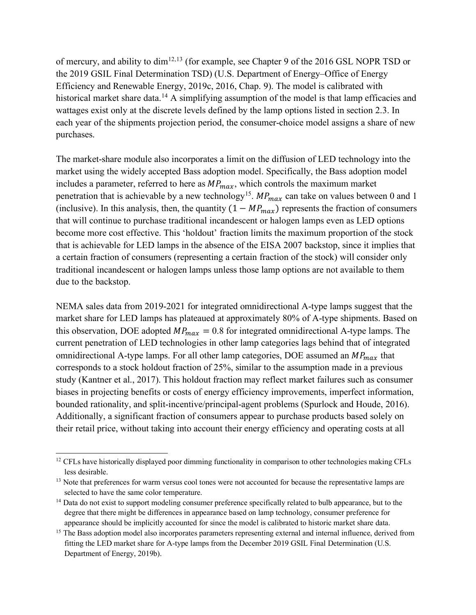of mercury, and ability to dim<sup>[12,](#page-18-0)[13](#page-18-1)</sup> (for example, see Chapter 9 of the 2016 GSL NOPR TSD or the 2019 GSIL Final Determination TSD) (U.S. Department of Energy–Office of Energy Efficiency and Renewable Energy, 2019c, 2016, Chap. 9). The model is calibrated with historical market share data.<sup>[14](#page-18-2)</sup> A simplifying assumption of the model is that lamp efficacies and wattages exist only at the discrete levels defined by the lamp options listed in section [2.3.](#page-12-0) In each year of the shipments projection period, the consumer-choice model assigns a share of new purchases.

The market-share module also incorporates a limit on the diffusion of LED technology into the market using the widely accepted Bass adoption model. Specifically, the Bass adoption model includes a parameter, referred to here as  $MP_{max}$ , which controls the maximum market penetration that is achievable by a new technology<sup>15</sup>.  $MP_{max}$  can take on values between 0 and 1 (inclusive). In this analysis, then, the quantity  $(1 - MP_{max})$  represents the fraction of consumers that will continue to purchase traditional incandescent or halogen lamps even as LED options become more cost effective. This 'holdout' fraction limits the maximum proportion of the stock that is achievable for LED lamps in the absence of the EISA 2007 backstop, since it implies that a certain fraction of consumers (representing a certain fraction of the stock) will consider only traditional incandescent or halogen lamps unless those lamp options are not available to them due to the backstop.

NEMA sales data from 2019-2021 for integrated omnidirectional A-type lamps suggest that the market share for LED lamps has plateaued at approximately 80% of A-type shipments. Based on this observation, DOE adopted  $MP_{max} = 0.8$  for integrated omnidirectional A-type lamps. The current penetration of LED technologies in other lamp categories lags behind that of integrated omnidirectional A-type lamps. For all other lamp categories, DOE assumed an  $MP_{max}$  that corresponds to a stock holdout fraction of 25%, similar to the assumption made in a previous study (Kantner et al., 2017). This holdout fraction may reflect market failures such as consumer biases in projecting benefits or costs of energy efficiency improvements, imperfect information, bounded rationality, and split-incentive/principal-agent problems (Spurlock and Houde, 2016). Additionally, a significant fraction of consumers appear to purchase products based solely on their retail price, without taking into account their energy efficiency and operating costs at all

<span id="page-18-0"></span><sup>&</sup>lt;sup>12</sup> CFLs have historically displayed poor dimming functionality in comparison to other technologies making CFLs less desirable.

<span id="page-18-1"></span><sup>&</sup>lt;sup>13</sup> Note that preferences for warm versus cool tones were not accounted for because the representative lamps are selected to have the same color temperature.

<span id="page-18-2"></span><sup>&</sup>lt;sup>14</sup> Data do not exist to support modeling consumer preference specifically related to bulb appearance, but to the degree that there might be differences in appearance based on lamp technology, consumer preference for appearance should be implicitly accounted for since the model is calibrated to historic market share data.

<span id="page-18-3"></span><sup>&</sup>lt;sup>15</sup> The Bass adoption model also incorporates parameters representing external and internal influence, derived from fitting the LED market share for A-type lamps from the December 2019 GSIL Final Determination (U.S. Department of Energy, 2019b).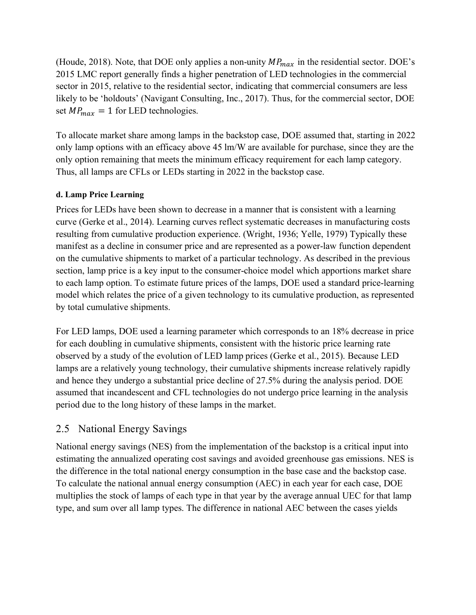(Houde, 2018). Note, that DOE only applies a non-unity  $MP_{max}$  in the residential sector. DOE's 2015 LMC report generally finds a higher penetration of LED technologies in the commercial sector in 2015, relative to the residential sector, indicating that commercial consumers are less likely to be 'holdouts' (Navigant Consulting, Inc., 2017). Thus, for the commercial sector, DOE set  $MP_{max} = 1$  for LED technologies.

To allocate market share among lamps in the backstop case, DOE assumed that, starting in 2022 only lamp options with an efficacy above 45 lm/W are available for purchase, since they are the only option remaining that meets the minimum efficacy requirement for each lamp category. Thus, all lamps are CFLs or LEDs starting in 2022 in the backstop case.

### **d. Lamp Price Learning**

Prices for LEDs have been shown to decrease in a manner that is consistent with a learning curve (Gerke et al., 2014). Learning curves reflect systematic decreases in manufacturing costs resulting from cumulative production experience. (Wright, 1936; Yelle, 1979) Typically these manifest as a decline in consumer price and are represented as a power-law function dependent on the cumulative shipments to market of a particular technology. As described in the previous section, lamp price is a key input to the consumer-choice model which apportions market share to each lamp option. To estimate future prices of the lamps, DOE used a standard price-learning model which relates the price of a given technology to its cumulative production, as represented by total cumulative shipments.

For LED lamps, DOE used a learning parameter which corresponds to an 18% decrease in price for each doubling in cumulative shipments, consistent with the historic price learning rate observed by a study of the evolution of LED lamp prices (Gerke et al., 2015). Because LED lamps are a relatively young technology, their cumulative shipments increase relatively rapidly and hence they undergo a substantial price decline of 27.5% during the analysis period. DOE assumed that incandescent and CFL technologies do not undergo price learning in the analysis period due to the long history of these lamps in the market.

## <span id="page-19-0"></span>2.5 National Energy Savings

National energy savings (NES) from the implementation of the backstop is a critical input into estimating the annualized operating cost savings and avoided greenhouse gas emissions. NES is the difference in the total national energy consumption in the base case and the backstop case. To calculate the national annual energy consumption (AEC) in each year for each case, DOE multiplies the stock of lamps of each type in that year by the average annual UEC for that lamp type, and sum over all lamp types. The difference in national AEC between the cases yields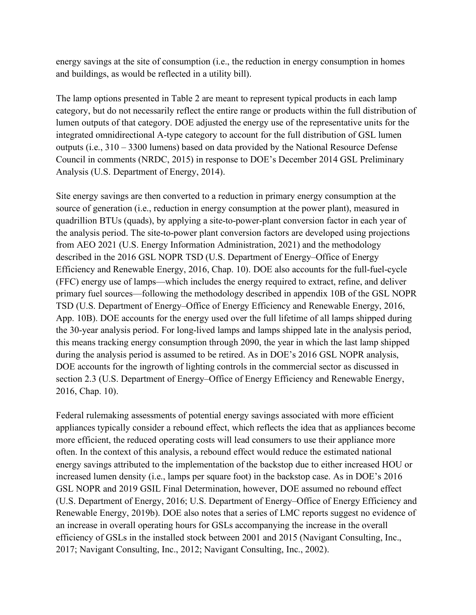energy savings at the site of consumption (i.e., the reduction in energy consumption in homes and buildings, as would be reflected in a utility bill).

The lamp options presented in Table 2 are meant to represent typical products in each lamp category, but do not necessarily reflect the entire range or products within the full distribution of lumen outputs of that category. DOE adjusted the energy use of the representative units for the integrated omnidirectional A-type category to account for the full distribution of GSL lumen outputs (i.e., 310 – 3300 lumens) based on data provided by the National Resource Defense Council in comments (NRDC, 2015) in response to DOE's December 2014 GSL Preliminary Analysis (U.S. Department of Energy, 2014).

Site energy savings are then converted to a reduction in primary energy consumption at the source of generation (i.e., reduction in energy consumption at the power plant), measured in quadrillion BTUs (quads), by applying a site-to-power-plant conversion factor in each year of the analysis period. The site-to-power plant conversion factors are developed using projections from AEO 2021 (U.S. Energy Information Administration, 2021) and the methodology described in the 2016 GSL NOPR TSD (U.S. Department of Energy–Office of Energy Efficiency and Renewable Energy, 2016, Chap. 10). DOE also accounts for the full-fuel-cycle (FFC) energy use of lamps—which includes the energy required to extract, refine, and deliver primary fuel sources—following the methodology described in appendix 10B of the GSL NOPR TSD (U.S. Department of Energy–Office of Energy Efficiency and Renewable Energy, 2016, App. 10B). DOE accounts for the energy used over the full lifetime of all lamps shipped during the 30-year analysis period. For long-lived lamps and lamps shipped late in the analysis period, this means tracking energy consumption through 2090, the year in which the last lamp shipped during the analysis period is assumed to be retired. As in DOE's 2016 GSL NOPR analysis, DOE accounts for the ingrowth of lighting controls in the commercial sector as discussed in section [2.3](#page-12-0) (U.S. Department of Energy–Office of Energy Efficiency and Renewable Energy, 2016, Chap. 10).

Federal rulemaking assessments of potential energy savings associated with more efficient appliances typically consider a rebound effect, which reflects the idea that as appliances become more efficient, the reduced operating costs will lead consumers to use their appliance more often. In the context of this analysis, a rebound effect would reduce the estimated national energy savings attributed to the implementation of the backstop due to either increased HOU or increased lumen density (i.e., lamps per square foot) in the backstop case. As in DOE's 2016 GSL NOPR and 2019 GSIL Final Determination, however, DOE assumed no rebound effect (U.S. Department of Energy, 2016; U.S. Department of Energy–Office of Energy Efficiency and Renewable Energy, 2019b). DOE also notes that a series of LMC reports suggest no evidence of an increase in overall operating hours for GSLs accompanying the increase in the overall efficiency of GSLs in the installed stock between 2001 and 2015 (Navigant Consulting, Inc., 2017; Navigant Consulting, Inc., 2012; Navigant Consulting, Inc., 2002).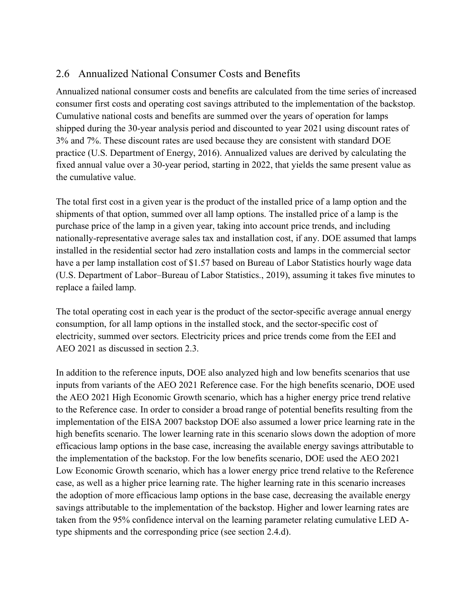## <span id="page-21-0"></span>2.6 Annualized National Consumer Costs and Benefits

Annualized national consumer costs and benefits are calculated from the time series of increased consumer first costs and operating cost savings attributed to the implementation of the backstop. Cumulative national costs and benefits are summed over the years of operation for lamps shipped during the 30-year analysis period and discounted to year 2021 using discount rates of 3% and 7%. These discount rates are used because they are consistent with standard DOE practice (U.S. Department of Energy, 2016). Annualized values are derived by calculating the fixed annual value over a 30-year period, starting in 2022, that yields the same present value as the cumulative value.

The total first cost in a given year is the product of the installed price of a lamp option and the shipments of that option, summed over all lamp options. The installed price of a lamp is the purchase price of the lamp in a given year, taking into account price trends, and including nationally-representative average sales tax and installation cost, if any. DOE assumed that lamps installed in the residential sector had zero installation costs and lamps in the commercial sector have a per lamp installation cost of \$1.57 based on Bureau of Labor Statistics hourly wage data (U.S. Department of Labor–Bureau of Labor Statistics., 2019), assuming it takes five minutes to replace a failed lamp.

The total operating cost in each year is the product of the sector-specific average annual energy consumption, for all lamp options in the installed stock, and the sector-specific cost of electricity, summed over sectors. Electricity prices and price trends come from the EEI and AEO 2021 as discussed in section [2.3.](#page-12-0)

In addition to the reference inputs, DOE also analyzed high and low benefits scenarios that use inputs from variants of the AEO 2021 Reference case. For the high benefits scenario, DOE used the AEO 2021 High Economic Growth scenario, which has a higher energy price trend relative to the Reference case. In order to consider a broad range of potential benefits resulting from the implementation of the EISA 2007 backstop DOE also assumed a lower price learning rate in the high benefits scenario. The lower learning rate in this scenario slows down the adoption of more efficacious lamp options in the base case, increasing the available energy savings attributable to the implementation of the backstop. For the low benefits scenario, DOE used the AEO 2021 Low Economic Growth scenario, which has a lower energy price trend relative to the Reference case, as well as a higher price learning rate. The higher learning rate in this scenario increases the adoption of more efficacious lamp options in the base case, decreasing the available energy savings attributable to the implementation of the backstop. Higher and lower learning rates are taken from the 95% confidence interval on the learning parameter relating cumulative LED Atype shipments and the corresponding price (see section [2.4.](#page-16-0)d).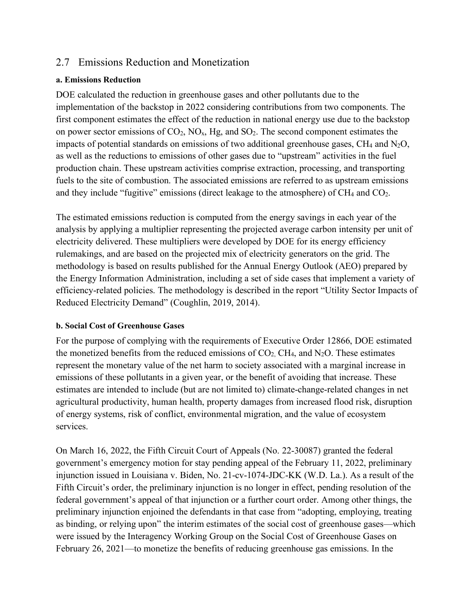## <span id="page-22-0"></span>2.7 Emissions Reduction and Monetization

#### **a. Emissions Reduction**

DOE calculated the reduction in greenhouse gases and other pollutants due to the implementation of the backstop in 2022 considering contributions from two components. The first component estimates the effect of the reduction in national energy use due to the backstop on power sector emissions of  $CO_2$ ,  $NO_x$ ,  $Hg$ , and  $SO_2$ . The second component estimates the impacts of potential standards on emissions of two additional greenhouse gases,  $CH_4$  and  $N_2O$ , as well as the reductions to emissions of other gases due to "upstream" activities in the fuel production chain. These upstream activities comprise extraction, processing, and transporting fuels to the site of combustion. The associated emissions are referred to as upstream emissions and they include "fugitive" emissions (direct leakage to the atmosphere) of  $CH_4$  and  $CO_2$ .

The estimated emissions reduction is computed from the energy savings in each year of the analysis by applying a multiplier representing the projected average carbon intensity per unit of electricity delivered. These multipliers were developed by DOE for its energy efficiency rulemakings, and are based on the projected mix of electricity generators on the grid. The methodology is based on results published for the Annual Energy Outlook (AEO) prepared by the Energy Information Administration, including a set of side cases that implement a variety of efficiency-related policies. The methodology is described in the report "Utility Sector Impacts of Reduced Electricity Demand" (Coughlin, 2019, 2014).

### **b. Social Cost of Greenhouse Gases**

For the purpose of complying with the requirements of Executive Order 12866, DOE estimated the monetized benefits from the reduced emissions of  $CO<sub>2</sub>$ , CH<sub>4</sub>, and N<sub>2</sub>O. These estimates represent the monetary value of the net harm to society associated with a marginal increase in emissions of these pollutants in a given year, or the benefit of avoiding that increase. These estimates are intended to include (but are not limited to) climate-change-related changes in net agricultural productivity, human health, property damages from increased flood risk, disruption of energy systems, risk of conflict, environmental migration, and the value of ecosystem services.

On March 16, 2022, the Fifth Circuit Court of Appeals (No. 22-30087) granted the federal government's emergency motion for stay pending appeal of the February 11, 2022, preliminary injunction issued in Louisiana v. Biden, No. 21-cv-1074-JDC-KK (W.D. La.). As a result of the Fifth Circuit's order, the preliminary injunction is no longer in effect, pending resolution of the federal government's appeal of that injunction or a further court order. Among other things, the preliminary injunction enjoined the defendants in that case from "adopting, employing, treating as binding, or relying upon" the interim estimates of the social cost of greenhouse gases—which were issued by the Interagency Working Group on the Social Cost of Greenhouse Gases on February 26, 2021—to monetize the benefits of reducing greenhouse gas emissions. In the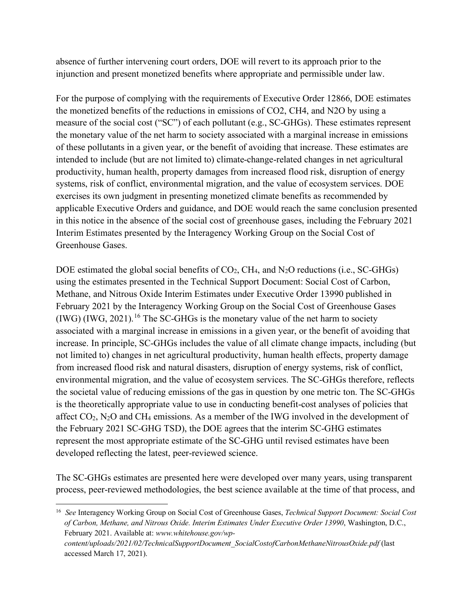absence of further intervening court orders, DOE will revert to its approach prior to the injunction and present monetized benefits where appropriate and permissible under law.

For the purpose of complying with the requirements of Executive Order 12866, DOE estimates the monetized benefits of the reductions in emissions of CO2, CH4, and N2O by using a measure of the social cost ("SC") of each pollutant (e.g., SC-GHGs). These estimates represent the monetary value of the net harm to society associated with a marginal increase in emissions of these pollutants in a given year, or the benefit of avoiding that increase. These estimates are intended to include (but are not limited to) climate-change-related changes in net agricultural productivity, human health, property damages from increased flood risk, disruption of energy systems, risk of conflict, environmental migration, and the value of ecosystem services. DOE exercises its own judgment in presenting monetized climate benefits as recommended by applicable Executive Orders and guidance, and DOE would reach the same conclusion presented in this notice in the absence of the social cost of greenhouse gases, including the February 2021 Interim Estimates presented by the Interagency Working Group on the Social Cost of Greenhouse Gases.

DOE estimated the global social benefits of  $CO<sub>2</sub>$ , CH<sub>4</sub>, and N<sub>2</sub>O reductions (i.e., SC-GHGs) using the estimates presented in the Technical Support Document: Social Cost of Carbon, Methane, and Nitrous Oxide Interim Estimates under Executive Order 13990 published in February 2021 by the Interagency Working Group on the Social Cost of Greenhouse Gases  $(1W)$  (IWG, 2021).<sup>[16](#page-23-0)</sup> The SC-GHGs is the monetary value of the net harm to society associated with a marginal increase in emissions in a given year, or the benefit of avoiding that increase. In principle, SC-GHGs includes the value of all climate change impacts, including (but not limited to) changes in net agricultural productivity, human health effects, property damage from increased flood risk and natural disasters, disruption of energy systems, risk of conflict, environmental migration, and the value of ecosystem services. The SC-GHGs therefore, reflects the societal value of reducing emissions of the gas in question by one metric ton. The SC-GHGs is the theoretically appropriate value to use in conducting benefit-cost analyses of policies that affect CO2, N2O and CH4 emissions. As a member of the IWG involved in the development of the February 2021 SC-GHG TSD), the DOE agrees that the interim SC-GHG estimates represent the most appropriate estimate of the SC-GHG until revised estimates have been developed reflecting the latest, peer-reviewed science.

The SC-GHGs estimates are presented here were developed over many years, using transparent process, peer-reviewed methodologies, the best science available at the time of that process, and

<span id="page-23-0"></span><sup>16</sup> *See* Interagency Working Group on Social Cost of Greenhouse Gases, *Technical Support Document: Social Cost of Carbon, Methane, and Nitrous Oxide. Interim Estimates Under Executive Order 13990*, Washington, D.C., February 2021. Available at: *www.whitehouse.gov/wp-*

*content/uploads/2021/02/TechnicalSupportDocument\_SocialCostofCarbonMethaneNitrousOxide.pdf* (last accessed March 17, 2021).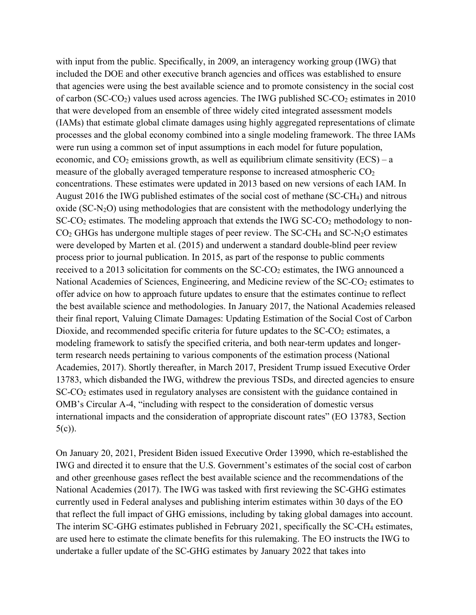with input from the public. Specifically, in 2009, an interagency working group (IWG) that included the DOE and other executive branch agencies and offices was established to ensure that agencies were using the best available science and to promote consistency in the social cost of carbon (SC-CO<sub>2</sub>) values used across agencies. The IWG published  $SC$ -CO<sub>2</sub> estimates in 2010 that were developed from an ensemble of three widely cited integrated assessment models (IAMs) that estimate global climate damages using highly aggregated representations of climate processes and the global economy combined into a single modeling framework. The three IAMs were run using a common set of input assumptions in each model for future population, economic, and  $CO<sub>2</sub>$  emissions growth, as well as equilibrium climate sensitivity (ECS) – a measure of the globally averaged temperature response to increased atmospheric  $CO<sub>2</sub>$ concentrations. These estimates were updated in 2013 based on new versions of each IAM. In August 2016 the IWG published estimates of the social cost of methane (SC-CH4) and nitrous oxide  $(SC-N<sub>2</sub>O)$  using methodologies that are consistent with the methodology underlying the  $SC-CO<sub>2</sub>$  estimates. The modeling approach that extends the IWG  $SC-CO<sub>2</sub>$  methodology to non- $CO<sub>2</sub>$  GHGs has undergone multiple stages of peer review. The SC-CH<sub>4</sub> and SC-N<sub>2</sub>O estimates were developed by Marten et al. (2015) and underwent a standard double-blind peer review process prior to journal publication. In 2015, as part of the response to public comments received to a 2013 solicitation for comments on the  $SC\text{-}CO<sub>2</sub>$  estimates, the IWG announced a National Academies of Sciences, Engineering, and Medicine review of the SC-CO<sub>2</sub> estimates to offer advice on how to approach future updates to ensure that the estimates continue to reflect the best available science and methodologies. In January 2017, the National Academies released their final report, Valuing Climate Damages: Updating Estimation of the Social Cost of Carbon Dioxide, and recommended specific criteria for future updates to the SC-CO<sub>2</sub> estimates, a modeling framework to satisfy the specified criteria, and both near-term updates and longerterm research needs pertaining to various components of the estimation process (National Academies, 2017). Shortly thereafter, in March 2017, President Trump issued Executive Order 13783, which disbanded the IWG, withdrew the previous TSDs, and directed agencies to ensure SC-CO2 estimates used in regulatory analyses are consistent with the guidance contained in OMB's Circular A-4, "including with respect to the consideration of domestic versus international impacts and the consideration of appropriate discount rates" (EO 13783, Section  $5(c)$ ).

On January 20, 2021, President Biden issued Executive Order 13990, which re-established the IWG and directed it to ensure that the U.S. Government's estimates of the social cost of carbon and other greenhouse gases reflect the best available science and the recommendations of the National Academies (2017). The IWG was tasked with first reviewing the SC-GHG estimates currently used in Federal analyses and publishing interim estimates within 30 days of the EO that reflect the full impact of GHG emissions, including by taking global damages into account. The interim SC-GHG estimates published in February 2021, specifically the SC-CH<sub>4</sub> estimates, are used here to estimate the climate benefits for this rulemaking. The EO instructs the IWG to undertake a fuller update of the SC-GHG estimates by January 2022 that takes into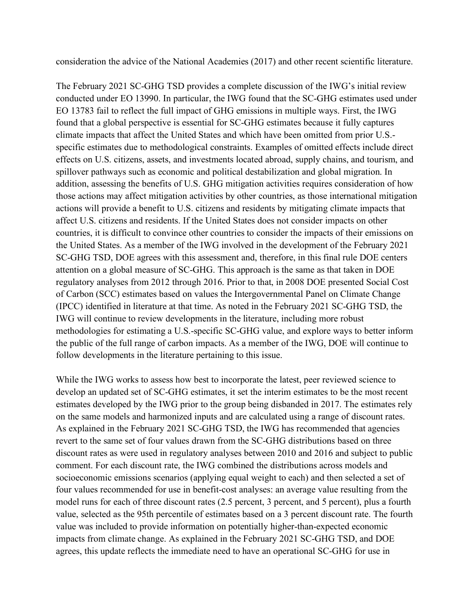consideration the advice of the National Academies (2017) and other recent scientific literature.

The February 2021 SC-GHG TSD provides a complete discussion of the IWG's initial review conducted under EO 13990. In particular, the IWG found that the SC-GHG estimates used under EO 13783 fail to reflect the full impact of GHG emissions in multiple ways. First, the IWG found that a global perspective is essential for SC-GHG estimates because it fully captures climate impacts that affect the United States and which have been omitted from prior U.S. specific estimates due to methodological constraints. Examples of omitted effects include direct effects on U.S. citizens, assets, and investments located abroad, supply chains, and tourism, and spillover pathways such as economic and political destabilization and global migration. In addition, assessing the benefits of U.S. GHG mitigation activities requires consideration of how those actions may affect mitigation activities by other countries, as those international mitigation actions will provide a benefit to U.S. citizens and residents by mitigating climate impacts that affect U.S. citizens and residents. If the United States does not consider impacts on other countries, it is difficult to convince other countries to consider the impacts of their emissions on the United States. As a member of the IWG involved in the development of the February 2021 SC-GHG TSD, DOE agrees with this assessment and, therefore, in this final rule DOE centers attention on a global measure of SC-GHG. This approach is the same as that taken in DOE regulatory analyses from 2012 through 2016. Prior to that, in 2008 DOE presented Social Cost of Carbon (SCC) estimates based on values the Intergovernmental Panel on Climate Change (IPCC) identified in literature at that time. As noted in the February 2021 SC-GHG TSD, the IWG will continue to review developments in the literature, including more robust methodologies for estimating a U.S.-specific SC-GHG value, and explore ways to better inform the public of the full range of carbon impacts. As a member of the IWG, DOE will continue to follow developments in the literature pertaining to this issue.

While the IWG works to assess how best to incorporate the latest, peer reviewed science to develop an updated set of SC-GHG estimates, it set the interim estimates to be the most recent estimates developed by the IWG prior to the group being disbanded in 2017. The estimates rely on the same models and harmonized inputs and are calculated using a range of discount rates. As explained in the February 2021 SC-GHG TSD, the IWG has recommended that agencies revert to the same set of four values drawn from the SC-GHG distributions based on three discount rates as were used in regulatory analyses between 2010 and 2016 and subject to public comment. For each discount rate, the IWG combined the distributions across models and socioeconomic emissions scenarios (applying equal weight to each) and then selected a set of four values recommended for use in benefit-cost analyses: an average value resulting from the model runs for each of three discount rates (2.5 percent, 3 percent, and 5 percent), plus a fourth value, selected as the 95th percentile of estimates based on a 3 percent discount rate. The fourth value was included to provide information on potentially higher-than-expected economic impacts from climate change. As explained in the February 2021 SC-GHG TSD, and DOE agrees, this update reflects the immediate need to have an operational SC-GHG for use in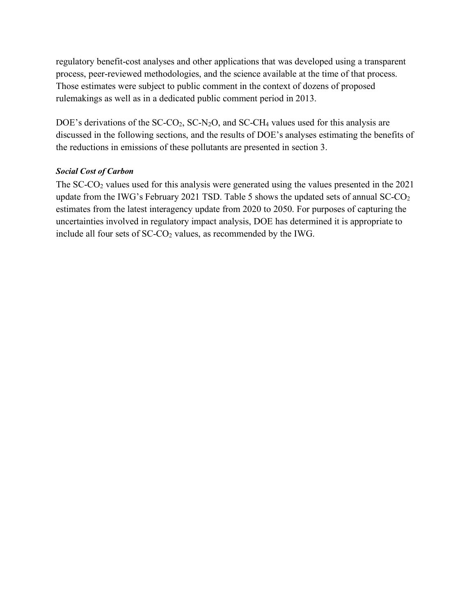regulatory benefit-cost analyses and other applications that was developed using a transparent process, peer-reviewed methodologies, and the science available at the time of that process. Those estimates were subject to public comment in the context of dozens of proposed rulemakings as well as in a dedicated public comment period in 2013.

DOE's derivations of the  $SCCO<sub>2</sub>$ ,  $SC-N<sub>2</sub>O$ , and  $SC-CH<sub>4</sub>$  values used for this analysis are discussed in the following sections, and the results of DOE's analyses estimating the benefits of the reductions in emissions of these pollutants are presented in section [3.](#page-31-1)

#### *Social Cost of Carbon*

The  $SC-CO<sub>2</sub>$  values used for this analysis were generated using the values presented in the 2021 update from the IWG's February 2021 TSD. [Table 5](#page-27-0) shows the updated sets of annual SC-CO<sub>2</sub> estimates from the latest interagency update from 2020 to 2050. For purposes of capturing the uncertainties involved in regulatory impact analysis, DOE has determined it is appropriate to include all four sets of SC-CO<sub>2</sub> values, as recommended by the IWG.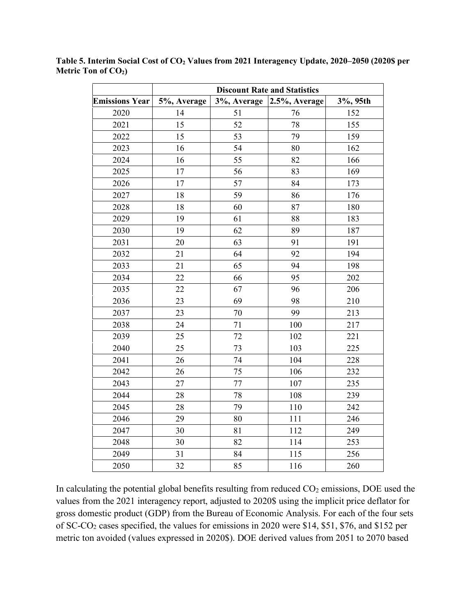|                       | <b>Discount Rate and Statistics</b> |             |               |          |  |
|-----------------------|-------------------------------------|-------------|---------------|----------|--|
| <b>Emissions Year</b> | 5%, Average                         | 3%, Average | 2.5%, Average | 3%, 95th |  |
| 2020                  | 14                                  | 51          | 76            | 152      |  |
| 2021                  | 15                                  | 52          | 78            | 155      |  |
| 2022                  | 15                                  | 53          | 79            | 159      |  |
| 2023                  | 16                                  | 54          | 80            | 162      |  |
| 2024                  | 16                                  | 55          | 82            | 166      |  |
| 2025                  | 17                                  | 56          | 83            | 169      |  |
| 2026                  | 17                                  | 57          | 84            | 173      |  |
| 2027                  | 18                                  | 59          | 86            | 176      |  |
| 2028                  | 18                                  | 60          | 87            | 180      |  |
| 2029                  | 19                                  | 61          | 88            | 183      |  |
| 2030                  | 19                                  | 62          | 89            | 187      |  |
| 2031                  | 20                                  | 63          | 91            | 191      |  |
| 2032                  | 21                                  | 64          | 92            | 194      |  |
| 2033                  | 21                                  | 65          | 94            | 198      |  |
| 2034                  | 22                                  | 66          | 95            | 202      |  |
| 2035                  | 22                                  | 67          | 96            | 206      |  |
| 2036                  | 23                                  | 69          | 98            | 210      |  |
| 2037                  | 23                                  | 70          | 99            | 213      |  |
| 2038                  | 24                                  | 71          | 100           | 217      |  |
| 2039                  | 25                                  | 72          | 102           | 221      |  |
| 2040                  | 25                                  | 73          | 103           | 225      |  |
| 2041                  | 26                                  | 74          | 104           | 228      |  |
| 2042                  | 26                                  | 75          | 106           | 232      |  |
| 2043                  | 27                                  | 77          | 107           | 235      |  |
| 2044                  | 28                                  | 78          | 108           | 239      |  |
| 2045                  | 28                                  | 79          | 110           | 242      |  |
| 2046                  | 29                                  | 80          | 111           | 246      |  |
| 2047                  | 30                                  | 81          | 112           | 249      |  |
| 2048                  | 30                                  | 82          | 114           | 253      |  |
| 2049                  | 31                                  | 84          | 115           | 256      |  |
| 2050                  | 32                                  | 85          | 116           | 260      |  |

<span id="page-27-0"></span>**Table 5. Interim Social Cost of CO2 Values from 2021 Interagency Update, 2020–2050 (2020\$ per**  Metric Ton of CO<sub>2</sub>)

In calculating the potential global benefits resulting from reduced  $CO<sub>2</sub>$  emissions, DOE used the values from the 2021 interagency report, adjusted to 2020\$ using the implicit price deflator for gross domestic product (GDP) from the Bureau of Economic Analysis. For each of the four sets of SC-CO2 cases specified, the values for emissions in 2020 were \$14, \$51, \$76, and \$152 per metric ton avoided (values expressed in 2020\$). DOE derived values from 2051 to 2070 based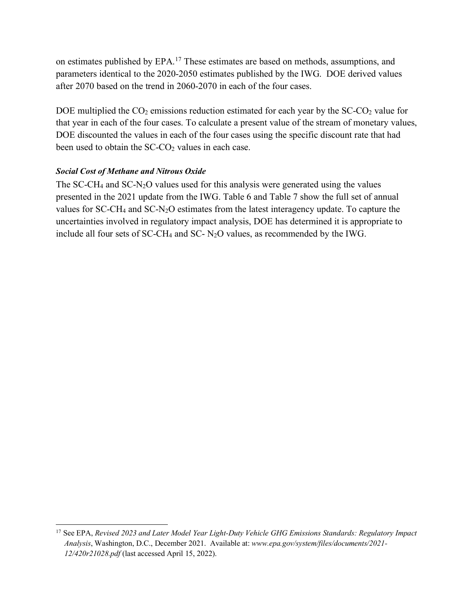on estimates published by EPA.[17](#page-28-0) These estimates are based on methods, assumptions, and parameters identical to the 2020-2050 estimates published by the IWG. DOE derived values after 2070 based on the trend in 2060-2070 in each of the four cases.

DOE multiplied the  $CO_2$  emissions reduction estimated for each year by the SC- $CO_2$  value for that year in each of the four cases. To calculate a present value of the stream of monetary values, DOE discounted the values in each of the four cases using the specific discount rate that had been used to obtain the  $SC-CO<sub>2</sub>$  values in each case.

#### *Social Cost of Methane and Nitrous Oxide*

The SC-CH<sub>4</sub> and SC-N<sub>2</sub>O values used for this analysis were generated using the values presented in the 2021 update from the IWG. [Table 6](#page-29-0) and [Table 7](#page-30-0) show the full set of annual values for SC-CH4 and SC-N2O estimates from the latest interagency update. To capture the uncertainties involved in regulatory impact analysis, DOE has determined it is appropriate to include all four sets of SC-CH4 and SC- N2O values, as recommended by the IWG.

<span id="page-28-0"></span><sup>17</sup> See EPA, *Revised 2023 and Later Model Year Light-Duty Vehicle GHG Emissions Standards: Regulatory Impact Analysis*, Washington, D.C., December 2021. Available at: *www.epa.gov/system/files/documents/2021- 12/420r21028.pdf* (last accessed April 15, 2022).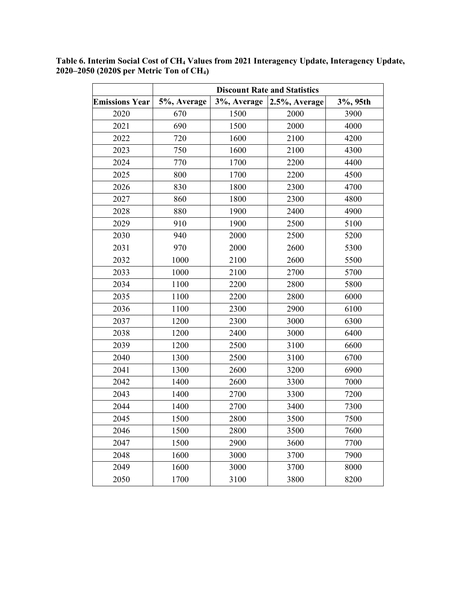|                       | <b>Discount Rate and Statistics</b> |             |               |          |  |
|-----------------------|-------------------------------------|-------------|---------------|----------|--|
| <b>Emissions Year</b> | 5%, Average                         | 3%, Average | 2.5%, Average | 3%, 95th |  |
| 2020                  | 670                                 | 1500        | 2000          | 3900     |  |
| 2021                  | 690                                 | 1500        | 2000          | 4000     |  |
| 2022                  | 720                                 | 1600        | 2100          | 4200     |  |
| 2023                  | 750                                 | 1600        | 2100          | 4300     |  |
| 2024                  | 770                                 | 1700        | 2200          | 4400     |  |
| 2025                  | 800                                 | 1700        | 2200          | 4500     |  |
| 2026                  | 830                                 | 1800        | 2300          | 4700     |  |
| 2027                  | 860                                 | 1800        | 2300          | 4800     |  |
| 2028                  | 880                                 | 1900        | 2400          | 4900     |  |
| 2029                  | 910                                 | 1900        | 2500          | 5100     |  |
| 2030                  | 940                                 | 2000        | 2500          | 5200     |  |
| 2031                  | 970                                 | 2000        | 2600          | 5300     |  |
| 2032                  | 1000                                | 2100        | 2600          | 5500     |  |
| 2033                  | 1000                                | 2100        | 2700          | 5700     |  |
| 2034                  | 1100                                | 2200        | 2800          | 5800     |  |
| 2035                  | 1100                                | 2200        | 2800          | 6000     |  |
| 2036                  | 1100                                | 2300        | 2900          | 6100     |  |
| 2037                  | 1200                                | 2300        | 3000          | 6300     |  |
| 2038                  | 1200                                | 2400        | 3000          | 6400     |  |
| 2039                  | 1200                                | 2500        | 3100          | 6600     |  |
| 2040                  | 1300                                | 2500        | 3100          | 6700     |  |
| 2041                  | 1300                                | 2600        | 3200          | 6900     |  |
| 2042                  | 1400                                | 2600        | 3300          | 7000     |  |
| 2043                  | 1400                                | 2700        | 3300          | 7200     |  |
| 2044                  | 1400                                | 2700        | 3400          | 7300     |  |
| 2045                  | 1500                                | 2800        | 3500          | 7500     |  |
| 2046                  | 1500                                | 2800        | 3500          | 7600     |  |
| 2047                  | 1500                                | 2900        | 3600          | 7700     |  |
| 2048                  | 1600                                | 3000        | 3700          | 7900     |  |
| 2049                  | 1600                                | 3000        | 3700          | 8000     |  |
| 2050                  | 1700                                | 3100        | 3800          | 8200     |  |

<span id="page-29-0"></span>**Table 6. Interim Social Cost of CH4 Values from 2021 Interagency Update, Interagency Update, 2020–2050 (2020\$ per Metric Ton of CH4)**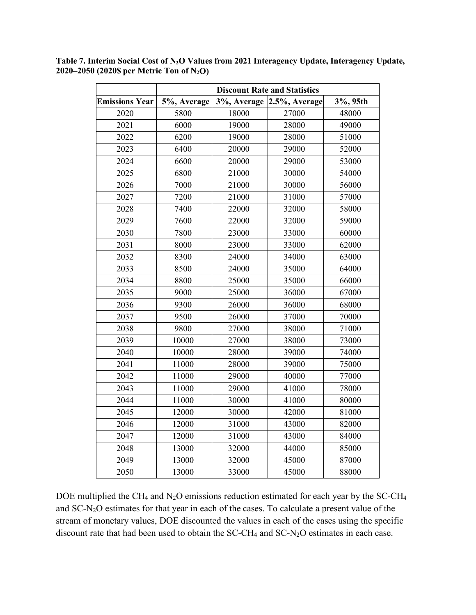|                       | <b>Discount Rate and Statistics</b> |       |                               |          |  |
|-----------------------|-------------------------------------|-------|-------------------------------|----------|--|
| <b>Emissions Year</b> | 5%, Average                         |       | $3\%$ , Average 2.5%, Average | 3%, 95th |  |
| 2020                  | 5800                                | 18000 | 27000                         | 48000    |  |
| 2021                  | 6000                                | 19000 | 28000                         | 49000    |  |
| 2022                  | 6200                                | 19000 | 28000                         | 51000    |  |
| 2023                  | 6400                                | 20000 | 29000                         | 52000    |  |
| 2024                  | 6600                                | 20000 | 29000                         | 53000    |  |
| 2025                  | 6800                                | 21000 | 30000                         | 54000    |  |
| 2026                  | 7000                                | 21000 | 30000                         | 56000    |  |
| 2027                  | 7200                                | 21000 | 31000                         | 57000    |  |
| 2028                  | 7400                                | 22000 | 32000                         | 58000    |  |
| 2029                  | 7600                                | 22000 | 32000                         | 59000    |  |
| 2030                  | 7800                                | 23000 | 33000                         | 60000    |  |
| 2031                  | 8000                                | 23000 | 33000                         | 62000    |  |
| 2032                  | 8300                                | 24000 | 34000                         | 63000    |  |
| 2033                  | 8500                                | 24000 | 35000                         | 64000    |  |
| 2034                  | 8800                                | 25000 | 35000                         | 66000    |  |
| 2035                  | 9000                                | 25000 | 36000                         | 67000    |  |
| 2036                  | 9300                                | 26000 | 36000                         | 68000    |  |
| 2037                  | 9500                                | 26000 | 37000                         | 70000    |  |
| 2038                  | 9800                                | 27000 | 38000                         | 71000    |  |
| 2039                  | 10000                               | 27000 | 38000                         | 73000    |  |
| 2040                  | 10000                               | 28000 | 39000                         | 74000    |  |
| 2041                  | 11000                               | 28000 | 39000                         | 75000    |  |
| 2042                  | 11000                               | 29000 | 40000                         | 77000    |  |
| 2043                  | 11000                               | 29000 | 41000                         | 78000    |  |
| 2044                  | 11000                               | 30000 | 41000                         | 80000    |  |
| 2045                  | 12000                               | 30000 | 42000                         | 81000    |  |
| 2046                  | 12000                               | 31000 | 43000                         | 82000    |  |
| 2047                  | 12000                               | 31000 | 43000                         | 84000    |  |
| 2048                  | 13000                               | 32000 | 44000                         | 85000    |  |
| 2049                  | 13000                               | 32000 | 45000                         | 87000    |  |
| 2050                  | 13000                               | 33000 | 45000                         | 88000    |  |

<span id="page-30-0"></span>**Table 7. Interim Social Cost of N2O Values from 2021 Interagency Update, Interagency Update, 2020–2050 (2020\$ per Metric Ton of N2O)**

DOE multiplied the CH4 and N2O emissions reduction estimated for each year by the SC-CH4 and SC-N2O estimates for that year in each of the cases. To calculate a present value of the stream of monetary values, DOE discounted the values in each of the cases using the specific discount rate that had been used to obtain the SC-CH4 and SC-N2O estimates in each case.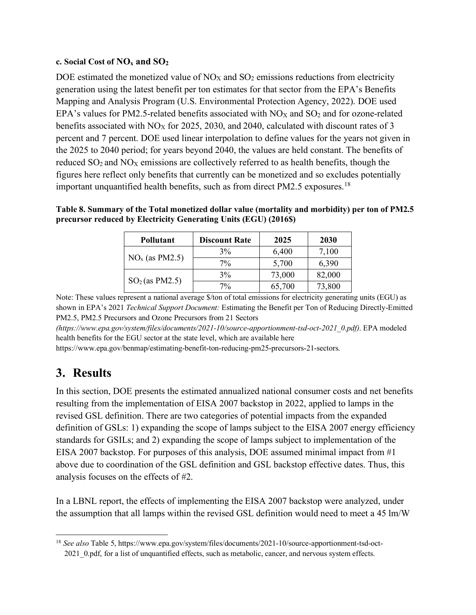#### **c. Social Cost of NOx and SO2**

DOE estimated the monetized value of  $NO<sub>X</sub>$  and  $SO<sub>2</sub>$  emissions reductions from electricity generation using the latest benefit per ton estimates for that sector from the EPA's Benefits Mapping and Analysis Program (U.S. Environmental Protection Agency, 2022). DOE used EPA's values for PM2.5-related benefits associated with  $NO<sub>X</sub>$  and  $SO<sub>2</sub>$  and for ozone-related benefits associated with  $NO<sub>X</sub>$  for 2025, 2030, and 2040, calculated with discount rates of 3 percent and 7 percent. DOE used linear interpolation to define values for the years not given in the 2025 to 2040 period; for years beyond 2040, the values are held constant. The benefits of reduced  $SO_2$  and  $NO<sub>X</sub>$  emissions are collectively referred to as health benefits, though the figures here reflect only benefits that currently can be monetized and so excludes potentially important unquantified health benefits, such as from direct PM2.5 exposures.<sup>[18](#page-31-2)</sup>

<span id="page-31-0"></span>

| Table 8. Summary of the Total monetized dollar value (mortality and morbidity) per ton of PM2.5 |
|-------------------------------------------------------------------------------------------------|
| precursor reduced by Electricity Generating Units (EGU) (2016\$)                                |

| <b>Pollutant</b> | <b>Discount Rate</b> | 2025   | 2030   |
|------------------|----------------------|--------|--------|
| $NOx$ (as PM2.5) | $3\%$                | 6,400  | 7,100  |
|                  | $7\%$                | 5,700  | 6,390  |
| $SO2$ (as PM2.5) | $3\%$                | 73,000 | 82,000 |
|                  | $7\%$                | 65,700 | 73,800 |

Note: These values represent a national average \$/ton of total emissions for electricity generating units (EGU) as shown in EPA's 2021 *Technical Support Document:* Estimating the Benefit per Ton of Reducing Directly-Emitted PM2.5, PM2.5 Precursors and Ozone Precursors from 21 Sectors

*(https://www.epa.gov/system/files/documents/2021-10/source-apportionment-tsd-oct-2021\_0.pdf)*. EPA modeled health benefits for the EGU sector at the state level, which are available here

https://www.epa.gov/benmap/estimating-benefit-ton-reducing-pm25-precursors-21-sectors.

## <span id="page-31-1"></span>**3. Results**

In this section, DOE presents the estimated annualized national consumer costs and net benefits resulting from the implementation of EISA 2007 backstop in 2022, applied to lamps in the revised GSL definition. There are two categories of potential impacts from the expanded definition of GSLs: 1) expanding the scope of lamps subject to the EISA 2007 energy efficiency standards for GSILs; and 2) expanding the scope of lamps subject to implementation of the EISA 2007 backstop. For purposes of this analysis, DOE assumed minimal impact from #1 above due to coordination of the GSL definition and GSL backstop effective dates. Thus, this analysis focuses on the effects of #2.

In a LBNL report, the effects of implementing the EISA 2007 backstop were analyzed, under the assumption that all lamps within the revised GSL definition would need to meet a 45 lm/W

<span id="page-31-2"></span><sup>18</sup> *See also* Table 5, https://www.epa.gov/system/files/documents/2021-10/source-apportionment-tsd-oct-2021\_0.pdf, for a list of unquantified effects, such as metabolic, cancer, and nervous system effects.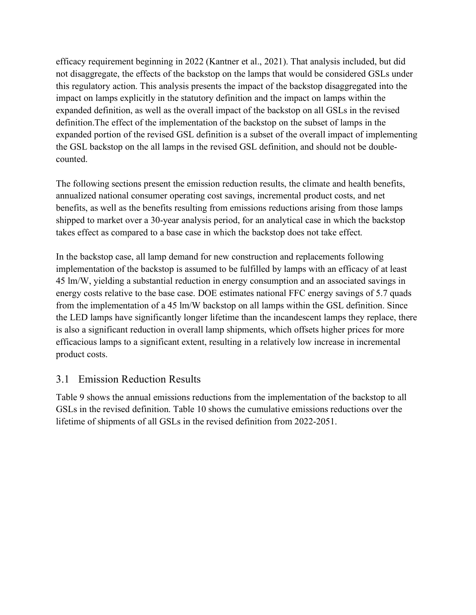efficacy requirement beginning in 2022 (Kantner et al., 2021). That analysis included, but did not disaggregate, the effects of the backstop on the lamps that would be considered GSLs under this regulatory action. This analysis presents the impact of the backstop disaggregated into the impact on lamps explicitly in the statutory definition and the impact on lamps within the expanded definition, as well as the overall impact of the backstop on all GSLs in the revised definition.The effect of the implementation of the backstop on the subset of lamps in the expanded portion of the revised GSL definition is a subset of the overall impact of implementing the GSL backstop on the all lamps in the revised GSL definition, and should not be doublecounted.

The following sections present the emission reduction results, the climate and health benefits, annualized national consumer operating cost savings, incremental product costs, and net benefits, as well as the benefits resulting from emissions reductions arising from those lamps shipped to market over a 30-year analysis period, for an analytical case in which the backstop takes effect as compared to a base case in which the backstop does not take effect.

In the backstop case, all lamp demand for new construction and replacements following implementation of the backstop is assumed to be fulfilled by lamps with an efficacy of at least 45 lm/W, yielding a substantial reduction in energy consumption and an associated savings in energy costs relative to the base case. DOE estimates national FFC energy savings of 5.7 quads from the implementation of a 45 lm/W backstop on all lamps within the GSL definition. Since the LED lamps have significantly longer lifetime than the incandescent lamps they replace, there is also a significant reduction in overall lamp shipments, which offsets higher prices for more efficacious lamps to a significant extent, resulting in a relatively low increase in incremental product costs.

### 3.1 Emission Reduction Results

[Table 9](#page-33-0) shows the annual emissions reductions from the implementation of the backstop to all GSLs in the revised definition. [Table 10](#page-34-0) shows the cumulative emissions reductions over the lifetime of shipments of all GSLs in the revised definition from 2022-2051.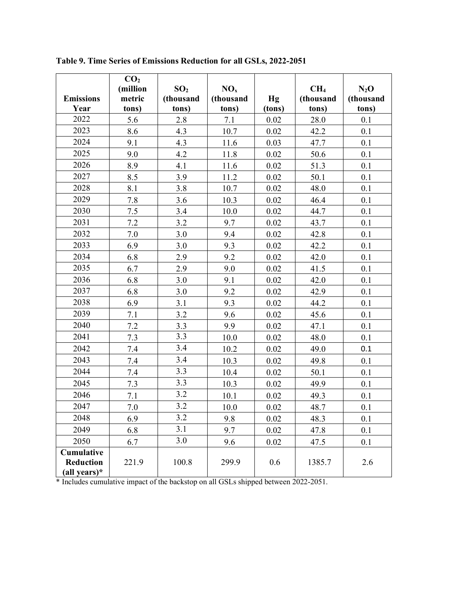|                                                | CO <sub>2</sub><br>(million | SO <sub>2</sub>    | NO <sub>x</sub>    |              | CH <sub>4</sub>    | $N_2O$             |
|------------------------------------------------|-----------------------------|--------------------|--------------------|--------------|--------------------|--------------------|
| <b>Emissions</b><br>Year                       | metric<br>tons)             | (thousand<br>tons) | (thousand<br>tons) | Hg<br>(tons) | (thousand<br>tons) | (thousand<br>tons) |
| 2022                                           | 5.6                         | 2.8                | 7.1                | 0.02         | 28.0               | 0.1                |
| 2023                                           | 8.6                         | 4.3                | 10.7               | 0.02         | 42.2               | 0.1                |
| 2024                                           | 9.1                         | 4.3                | 11.6               | 0.03         | 47.7               | 0.1                |
| 2025                                           | 9.0                         | 4.2                | 11.8               | 0.02         | 50.6               | 0.1                |
| 2026                                           | 8.9                         | 4.1                | 11.6               | 0.02         | 51.3               | 0.1                |
| 2027                                           | 8.5                         | 3.9                | 11.2               | 0.02         | 50.1               | 0.1                |
| 2028                                           | 8.1                         | 3.8                | 10.7               | 0.02         | 48.0               | 0.1                |
| 2029                                           | 7.8                         | 3.6                | 10.3               | 0.02         | 46.4               | 0.1                |
| 2030                                           | 7.5                         | 3.4                | 10.0               | 0.02         | 44.7               | 0.1                |
| 2031                                           | 7.2                         | 3.2                | 9.7                | 0.02         | 43.7               | 0.1                |
| 2032                                           | 7.0                         | 3.0                | 9.4                | 0.02         | 42.8               | 0.1                |
| 2033                                           | 6.9                         | 3.0                | 9.3                | 0.02         | 42.2               | 0.1                |
| 2034                                           | 6.8                         | 2.9                | 9.2                | 0.02         | 42.0               | 0.1                |
| 2035                                           | 6.7                         | 2.9                | 9.0                | 0.02         | 41.5               | 0.1                |
| 2036                                           | 6.8                         | 3.0                | 9.1                | 0.02         | 42.0               | 0.1                |
| 2037                                           | 6.8                         | 3.0                | 9.2                | 0.02         | 42.9               | 0.1                |
| 2038                                           | 6.9                         | 3.1                | 9.3                | 0.02         | 44.2               | 0.1                |
| 2039                                           | 7.1                         | 3.2                | 9.6                | 0.02         | 45.6               | 0.1                |
| 2040                                           | 7.2                         | 3.3                | 9.9                | 0.02         | 47.1               | 0.1                |
| 2041                                           | 7.3                         | 3.3                | 10.0               | 0.02         | 48.0               | 0.1                |
| 2042                                           | 7.4                         | 3.4                | 10.2               | 0.02         | 49.0               | 0.1                |
| 2043                                           | 7.4                         | 3.4                | 10.3               | 0.02         | 49.8               | 0.1                |
| 2044                                           | 7.4                         | 3.3                | 10.4               | 0.02         | 50.1               | 0.1                |
| 2045                                           | 7.3                         | 3.3                | 10.3               | 0.02         | 49.9               | 0.1                |
| 2046                                           | 7.1                         | 3.2                | 10.1               | 0.02         | 49.3               | 0.1                |
| 2047                                           | 7.0                         | 3.2                | 10.0               | 0.02         | 48.7               | 0.1                |
| 2048                                           | 6.9                         | 3.2                | 9.8                | 0.02         | 48.3               | 0.1                |
| 2049                                           | 6.8                         | 3.1                | 9.7                | 0.02         | 47.8               | 0.1                |
| 2050                                           | 6.7                         | 3.0                | 9.6                | 0.02         | 47.5               | 0.1                |
| Cumulative<br><b>Reduction</b><br>(all years)* | 221.9                       | 100.8              | 299.9              | 0.6          | 1385.7             | 2.6                |

<span id="page-33-0"></span>**Table 9. Time Series of Emissions Reduction for all GSLs, 2022-2051**

\* Includes cumulative impact of the backstop on all GSLs shipped between 2022-2051.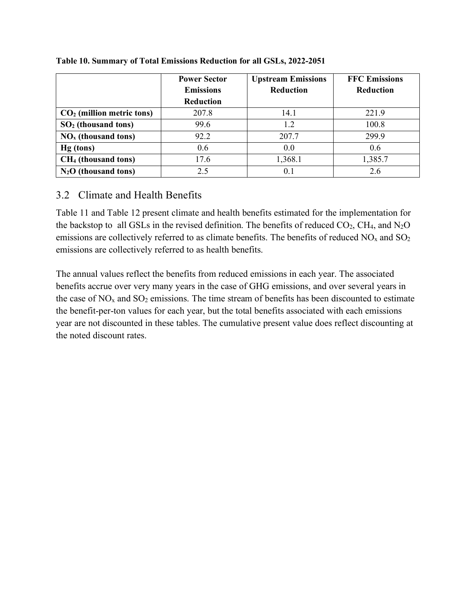|                                 | <b>Power Sector</b> | <b>Upstream Emissions</b> | <b>FFC Emissions</b> |
|---------------------------------|---------------------|---------------------------|----------------------|
|                                 | <b>Emissions</b>    | <b>Reduction</b>          | <b>Reduction</b>     |
|                                 | Reduction           |                           |                      |
| $CO2$ (million metric tons)     | 207.8               | 14.1                      | 221.9                |
| $SO2$ (thousand tons)           | 99.6                | 1.2                       | 100.8                |
| $NOx$ (thousand tons)           | 92.2                | 207.7                     | 299.9                |
| Hg (tons)                       | 0.6                 | 0.0                       | 0.6                  |
| CH <sub>4</sub> (thousand tons) | 17.6                | 1,368.1                   | 1,385.7              |
| $N_2O$ (thousand tons)          | 2.5                 | 0.1                       | 2.6                  |

#### <span id="page-34-0"></span>**Table 10. Summary of Total Emissions Reduction for all GSLs, 2022-2051**

## 3.2 Climate and Health Benefits

[Table 11](#page-35-0) and [Table 12](#page-35-1) present climate and health benefits estimated for the implementation for the backstop to all GSLs in the revised definition. The benefits of reduced  $CO_2$ , CH<sub>4</sub>, and N<sub>2</sub>O emissions are collectively referred to as climate benefits. The benefits of reduced  $NO<sub>x</sub>$  and  $SO<sub>2</sub>$ emissions are collectively referred to as health benefits.

The annual values reflect the benefits from reduced emissions in each year. The associated benefits accrue over very many years in the case of GHG emissions, and over several years in the case of  $NO<sub>x</sub>$  and  $SO<sub>2</sub>$  emissions. The time stream of benefits has been discounted to estimate the benefit-per-ton values for each year, but the total benefits associated with each emissions year are not discounted in these tables. The cumulative present value does reflect discounting at the noted discount rates.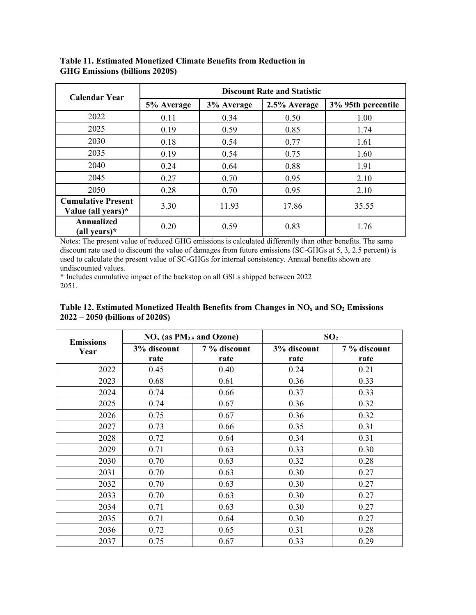| <b>Calendar Year</b>                            | <b>Discount Rate and Statistic</b> |            |              |                    |  |
|-------------------------------------------------|------------------------------------|------------|--------------|--------------------|--|
|                                                 | 5% Average                         | 3% Average | 2.5% Average | 3% 95th percentile |  |
| 2022                                            | 0.11                               | 0.34       | 0.50         | 1.00               |  |
| 2025                                            | 0.19                               | 0.59       | 0.85         | 1.74               |  |
| 2030                                            | 0.18                               | 0.54       | 0.77         | 1.61               |  |
| 2035                                            | 0.19                               | 0.54       | 0.75         | 1.60               |  |
| 2040                                            | 0.24                               | 0.64       | 0.88         | 1.91               |  |
| 2045                                            | 0.27                               | 0.70       | 0.95         | 2.10               |  |
| 2050                                            | 0.28                               | 0.70       | 0.95         | 2.10               |  |
| <b>Cumulative Present</b><br>Value (all years)* | 3.30                               | 11.93      | 17.86        | 35.55              |  |
| <b>Annualized</b><br>(all years) $*$            | 0.20                               | 0.59       | 0.83         | 1.76               |  |

<span id="page-35-0"></span>**Table 11. Estimated Monetized Climate Benefits from Reduction in GHG Emissions (billions 2020\$)**

Notes: The present value of reduced GHG emissions is calculated differently than other benefits. The same discount rate used to discount the value of damages from future emissions (SC-GHGs at 5, 3, 2.5 percent) is used to calculate the present value of SC-GHGs for internal consistency. Annual benefits shown are undiscounted values.

\* Includes cumulative impact of the backstop on all GSLs shipped between 2022 2051.

<span id="page-35-1"></span>

| Table 12. Estimated Monetized Health Benefits from Changes in $NOx$ and $SO2$ Emissions |  |  |  |
|-----------------------------------------------------------------------------------------|--|--|--|
| $2022 - 2050$ (billions of 2020\$)                                                      |  |  |  |

| <b>Emissions</b> | $NOx$ (as $PM2.5$ and Ozone) |              | SO <sub>2</sub> |              |  |
|------------------|------------------------------|--------------|-----------------|--------------|--|
| Year             | 3% discount                  | 7 % discount | 3% discount     | 7 % discount |  |
|                  | rate                         | rate         | rate            | rate         |  |
| 2022             | 0.45                         | 0.40         | 0.24            | 0.21         |  |
| 2023             | 0.68                         | 0.61         | 0.36            | 0.33         |  |
| 2024             | 0.74                         | 0.66         | 0.37            | 0.33         |  |
| 2025             | 0.74                         | 0.67         | 0.36            | 0.32         |  |
| 2026             | 0.75                         | 0.67         | 0.36            | 0.32         |  |
| 2027             | 0.73                         | 0.66         | 0.35            | 0.31         |  |
| 2028             | 0.72                         | 0.64         | 0.34            | 0.31         |  |
| 2029             | 0.71                         | 0.63         | 0.33            | 0.30         |  |
| 2030             | 0.70                         | 0.63         | 0.32            | 0.28         |  |
| 2031             | 0.70                         | 0.63         | 0.30            | 0.27         |  |
| 2032             | 0.70                         | 0.63         | 0.30            | 0.27         |  |
| 2033             | 0.70                         | 0.63         | 0.30            | 0.27         |  |
| 2034             | 0.71                         | 0.63         | 0.30            | 0.27         |  |
| 2035             | 0.71                         | 0.64         | 0.30            | 0.27         |  |
| 2036             | 0.72                         | 0.65         | 0.31            | 0.28         |  |
| 2037             | 0.75                         | 0.67         | 0.33            | 0.29         |  |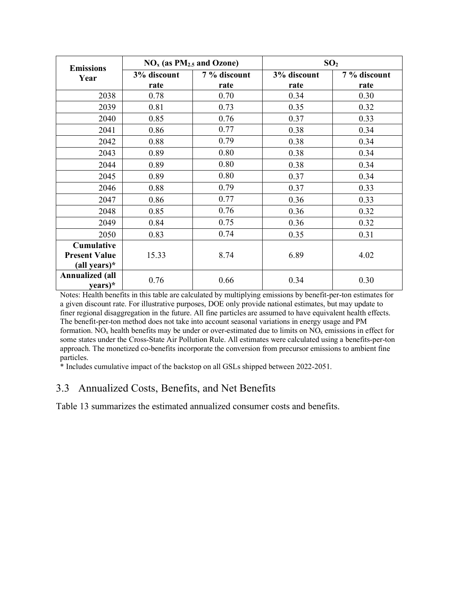| <b>Emissions</b>                  | $NOx$ (as $PM2.5$ and Ozone) |              | SO <sub>2</sub> |              |
|-----------------------------------|------------------------------|--------------|-----------------|--------------|
| Year                              | 3% discount                  | 7 % discount | 3% discount     | 7 % discount |
|                                   | rate                         | rate         | rate            | rate         |
| 2038                              | 0.78                         | 0.70         | 0.34            | 0.30         |
| 2039                              | 0.81                         | 0.73         | 0.35            | 0.32         |
| 2040                              | 0.85                         | 0.76         | 0.37            | 0.33         |
| 2041                              | 0.86                         | 0.77         | 0.38            | 0.34         |
| 2042                              | 0.88                         | 0.79         | 0.38            | 0.34         |
| 2043                              | 0.89                         | 0.80         | 0.38            | 0.34         |
| 2044                              | 0.89                         | 0.80         | 0.38            | 0.34         |
| 2045                              | 0.89                         | 0.80         | 0.37            | 0.34         |
| 2046                              | 0.88                         | 0.79         | 0.37            | 0.33         |
| 2047                              | 0.86                         | 0.77         | 0.36            | 0.33         |
| 2048                              | 0.85                         | 0.76         | 0.36            | 0.32         |
| 2049                              | 0.84                         | 0.75         | 0.36            | 0.32         |
| 2050                              | 0.83                         | 0.74         | 0.35            | 0.31         |
| <b>Cumulative</b>                 |                              |              |                 |              |
| <b>Present Value</b>              | 15.33                        | 8.74         | 6.89            | 4.02         |
| (all years)*                      |                              |              |                 |              |
| <b>Annualized (all</b><br>years)* | 0.76                         | 0.66         | 0.34            | 0.30         |

Notes: Health benefits in this table are calculated by multiplying emissions by benefit-per-ton estimates for a given discount rate. For illustrative purposes, DOE only provide national estimates, but may update to finer regional disaggregation in the future. All fine particles are assumed to have equivalent health effects. The benefit-per-ton method does not take into account seasonal variations in energy usage and PM formation. NO<sub>x</sub> health benefits may be under or over-estimated due to limits on  $NO<sub>x</sub>$  emissions in effect for some states under the Cross-State Air Pollution Rule. All estimates were calculated using a benefits-per-ton approach. The monetized co-benefits incorporate the conversion from precursor emissions to ambient fine particles.

\* Includes cumulative impact of the backstop on all GSLs shipped between 2022-2051.

## 3.3 Annualized Costs, Benefits, and Net Benefits

[Table 13](#page-37-0) summarizes the estimated annualized consumer costs and benefits.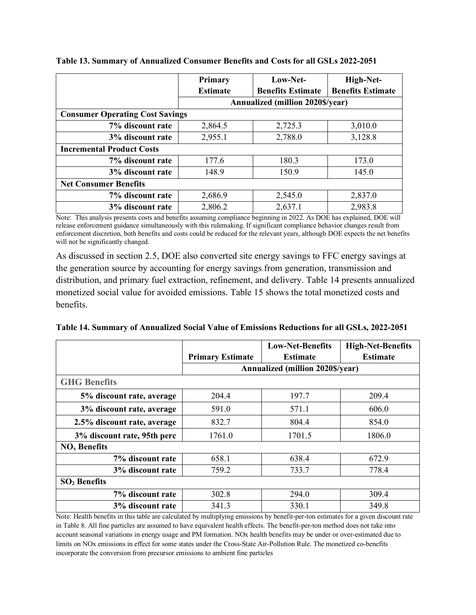|                                        | Primary         | Low-Net-                                | High-Net-                |  |  |
|----------------------------------------|-----------------|-----------------------------------------|--------------------------|--|--|
|                                        | <b>Estimate</b> | <b>Benefits Estimate</b>                | <b>Benefits Estimate</b> |  |  |
|                                        |                 | <b>Annualized (million 2020\$/year)</b> |                          |  |  |
| <b>Consumer Operating Cost Savings</b> |                 |                                         |                          |  |  |
| 7% discount rate                       | 2,864.5         | 2,725.3                                 | 3,010.0                  |  |  |
| 3% discount rate                       | 2,955.1         | 2,788.0                                 | 3,128.8                  |  |  |
| <b>Incremental Product Costs</b>       |                 |                                         |                          |  |  |
| 7% discount rate                       | 177.6           | 180.3                                   | 173.0                    |  |  |
| 3% discount rate                       | 148.9           | 150.9                                   | 145.0                    |  |  |
| <b>Net Consumer Benefits</b>           |                 |                                         |                          |  |  |
| 7% discount rate                       | 2,686.9         | 2,545.0                                 | 2,837.0                  |  |  |
| 3% discount rate                       | 2,806.2         | 2,637.1                                 | 2,983.8                  |  |  |

<span id="page-37-0"></span>**Table 13. Summary of Annualized Consumer Benefits and Costs for all GSLs 2022-2051**

Note: This analysis presents costs and benefits assuming compliance beginning in 2022. As DOE has explained, DOE will release enforcement guidance simultaneously with this rulemaking. If significant compliance behavior changes result from enforcement discretion, both benefits and costs could be reduced for the relevant years, although DOE expects the net benefits will not be significantly changed.

As discussed in section [2.5,](#page-19-0) DOE also converted site energy savings to FFC energy savings at the generation source by accounting for energy savings from generation, transmission and distribution, and primary fuel extraction, refinement, and delivery. [Table 14](#page-37-1) presents annualized monetized social value for avoided emissions. [Table 15](#page-38-0) shows the total monetized costs and benefits.

<span id="page-37-1"></span>**Table 14. Summary of Annualized Social Value of Emissions Reductions for all GSLs, 2022-2051**

|                             |                         | <b>Low-Net-Benefits</b>                 | <b>High-Net-Benefits</b> |
|-----------------------------|-------------------------|-----------------------------------------|--------------------------|
|                             | <b>Primary Estimate</b> | <b>Estimate</b>                         | <b>Estimate</b>          |
|                             |                         | <b>Annualized (million 2020\$/year)</b> |                          |
| <b>GHG Benefits</b>         |                         |                                         |                          |
| 5% discount rate, average   | 204.4                   | 197.7                                   | 209.4                    |
| 3% discount rate, average   | 591.0                   | 571.1                                   | 606.0                    |
| 2.5% discount rate, average | 832.7                   | 804.4                                   | 854.0                    |
| 3% discount rate, 95th perc | 1761.0                  | 1701.5                                  | 1806.0                   |
| $NOx$ Benefits              |                         |                                         |                          |
| 7% discount rate            | 658.1                   | 638.4                                   | 672.9                    |
| 3% discount rate            | 759.2                   | 733.7                                   | 778.4                    |
| $SO2$ Benefits              |                         |                                         |                          |
| 7% discount rate            | 302.8                   | 294.0                                   | 309.4                    |
| 3% discount rate            | 341.3                   | 330.1                                   | 349.8                    |

Note: Health benefits in this table are calculated by multiplying emissions by benefit-per-ton estimates for a given discount rate i[n Table 8.](#page-31-0) All fine particles are assumed to have equivalent health effects. The benefit-per-ton method does not take into account seasonal variations in energy usage and PM formation. NOx health benefits may be under or over-estimated due to limits on NOx emissions in effect for some states under the Cross-State Air-Pollution Rule. The monetized co-benefits incorporate the conversion from precursor emissions to ambient fine particles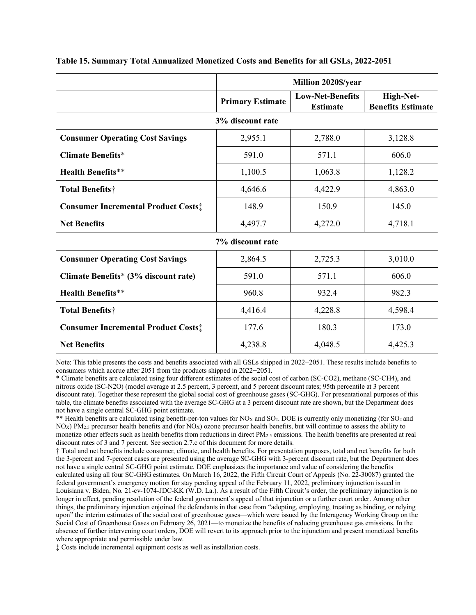|                                            | Million 2020\$/year     |                                            |                                       |
|--------------------------------------------|-------------------------|--------------------------------------------|---------------------------------------|
|                                            | <b>Primary Estimate</b> | <b>Low-Net-Benefits</b><br><b>Estimate</b> | High-Net-<br><b>Benefits Estimate</b> |
|                                            | 3% discount rate        |                                            |                                       |
| <b>Consumer Operating Cost Savings</b>     | 2,955.1                 | 2,788.0                                    | 3,128.8                               |
| <b>Climate Benefits*</b>                   | 591.0                   | 571.1                                      | 606.0                                 |
| <b>Health Benefits**</b>                   | 1,100.5                 | 1,063.8                                    | 1,128.2                               |
| <b>Total Benefits†</b>                     | 4,646.6                 | 4,422.9                                    | 4,863.0                               |
| <b>Consumer Incremental Product Costs:</b> | 148.9                   | 150.9                                      | 145.0                                 |
| <b>Net Benefits</b>                        | 4,497.7                 | 4,272.0                                    | 4,718.1                               |
|                                            | 7% discount rate        |                                            |                                       |
| <b>Consumer Operating Cost Savings</b>     | 2,864.5                 | 2,725.3                                    | 3,010.0                               |
| Climate Benefits* (3% discount rate)       | 591.0                   | 571.1                                      | 606.0                                 |
| <b>Health Benefits**</b>                   | 960.8                   | 932.4                                      | 982.3                                 |
| <b>Total Benefits†</b>                     | 4,416.4                 | 4,228.8                                    | 4,598.4                               |
| <b>Consumer Incremental Product Costs:</b> | 177.6                   | 180.3                                      | 173.0                                 |
| <b>Net Benefits</b>                        | 4,238.8                 | 4,048.5                                    | 4,425.3                               |

#### <span id="page-38-0"></span>**Table 15. Summary Total Annualized Monetized Costs and Benefits for all GSLs, 2022-2051**

Note: This table presents the costs and benefits associated with all GSLs shipped in 2022−2051. These results include benefits to consumers which accrue after 2051 from the products shipped in 2022−2051.

\* Climate benefits are calculated using four different estimates of the social cost of carbon (SC-CO2), methane (SC-CH4), and nitrous oxide (SC-N2O) (model average at 2.5 percent, 3 percent, and 5 percent discount rates; 95th percentile at 3 percent discount rate). Together these represent the global social cost of greenhouse gases (SC-GHG). For presentational purposes of this table, the climate benefits associated with the average SC-GHG at a 3 percent discount rate are shown, but the Department does not have a single central SC-GHG point estimate.

\*\* Health benefits are calculated using benefit-per-ton values for  $NO<sub>X</sub>$  and  $SO<sub>2</sub>$ . DOE is currently only monetizing (for  $SO<sub>2</sub>$  and  $N_{\text{Ox}}$ ) PM<sub>2.5</sub> precursor health benefits and (for NO<sub>X</sub>) ozone precursor health benefits, but will continue to assess the ability to monetize other effects such as health benefits from reductions in direct PM2.5 emissions. The health benefits are presented at real discount rates of 3 and 7 percent. See section 2.7.c of this document for more details.

† Total and net benefits include consumer, climate, and health benefits. For presentation purposes, total and net benefits for both the 3-percent and 7-percent cases are presented using the average SC-GHG with 3-percent discount rate, but the Department does not have a single central SC-GHG point estimate. DOE emphasizes the importance and value of considering the benefits calculated using all four SC-GHG estimates. On March 16, 2022, the Fifth Circuit Court of Appeals (No. 22-30087) granted the federal government's emergency motion for stay pending appeal of the February 11, 2022, preliminary injunction issued in Louisiana v. Biden, No. 21-cv-1074-JDC-KK (W.D. La.). As a result of the Fifth Circuit's order, the preliminary injunction is no longer in effect, pending resolution of the federal government's appeal of that injunction or a further court order. Among other things, the preliminary injunction enjoined the defendants in that case from "adopting, employing, treating as binding, or relying upon" the interim estimates of the social cost of greenhouse gases—which were issued by the Interagency Working Group on the Social Cost of Greenhouse Gases on February 26, 2021—to monetize the benefits of reducing greenhouse gas emissions. In the absence of further intervening court orders, DOE will revert to its approach prior to the injunction and present monetized benefits where appropriate and permissible under law.

‡ Costs include incremental equipment costs as well as installation costs.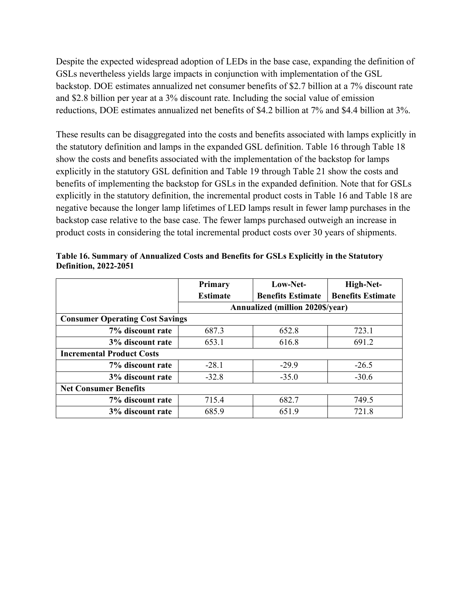Despite the expected widespread adoption of LEDs in the base case, expanding the definition of GSLs nevertheless yields large impacts in conjunction with implementation of the GSL backstop. DOE estimates annualized net consumer benefits of \$2.7 billion at a 7% discount rate and \$2.8 billion per year at a 3% discount rate. Including the social value of emission reductions, DOE estimates annualized net benefits of \$4.2 billion at 7% and \$4.4 billion at 3%.

These results can be disaggregated into the costs and benefits associated with lamps explicitly in the statutory definition and lamps in the expanded GSL definition. [Table 16](#page-39-0) through [Table 18](#page-41-0) show the costs and benefits associated with the implementation of the backstop for lamps explicitly in the statutory GSL definition and [Table 19](#page-42-0) through [Table 21](#page-43-0) show the costs and benefits of implementing the backstop for GSLs in the expanded definition. Note that for GSLs explicitly in the statutory definition, the incremental product costs in [Table 16](#page-39-0) and [Table 18](#page-41-0) are negative because the longer lamp lifetimes of LED lamps result in fewer lamp purchases in the backstop case relative to the base case. The fewer lamps purchased outweigh an increase in product costs in considering the total incremental product costs over 30 years of shipments.

|                                        | Primary         | Low-Net-                                | High-Net-                |  |  |
|----------------------------------------|-----------------|-----------------------------------------|--------------------------|--|--|
|                                        | <b>Estimate</b> | <b>Benefits Estimate</b>                | <b>Benefits Estimate</b> |  |  |
|                                        |                 | <b>Annualized (million 2020\$/year)</b> |                          |  |  |
| <b>Consumer Operating Cost Savings</b> |                 |                                         |                          |  |  |
| 7% discount rate                       | 687.3           | 652.8                                   | 723.1                    |  |  |
| 3% discount rate                       | 653.1           | 616.8                                   | 691.2                    |  |  |
| <b>Incremental Product Costs</b>       |                 |                                         |                          |  |  |
| 7% discount rate                       | $-28.1$         | $-29.9$                                 | $-26.5$                  |  |  |
| 3% discount rate                       | $-32.8$         | $-35.0$                                 | $-30.6$                  |  |  |
| <b>Net Consumer Benefits</b>           |                 |                                         |                          |  |  |
| 7% discount rate                       | 715.4           | 682.7                                   | 749.5                    |  |  |
| 3% discount rate                       | 685.9           | 651.9                                   | 721.8                    |  |  |

<span id="page-39-0"></span>**Table 16. Summary of Annualized Costs and Benefits for GSLs Explicitly in the Statutory Definition, 2022-2051**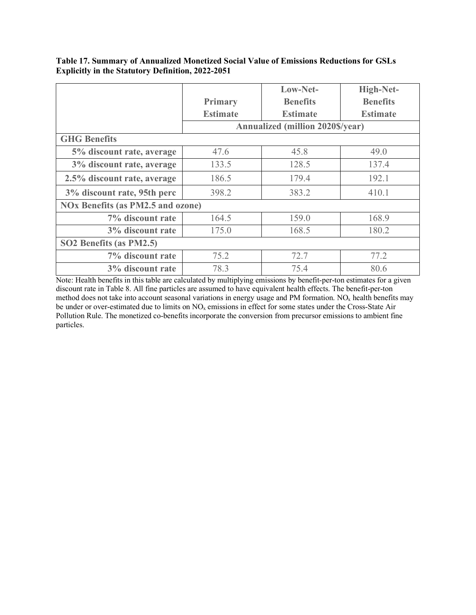|                                                  |                 | Low-Net-                                | High-Net-       |
|--------------------------------------------------|-----------------|-----------------------------------------|-----------------|
|                                                  | Primary         | <b>Benefits</b>                         | <b>Benefits</b> |
|                                                  | <b>Estimate</b> | <b>Estimate</b>                         | <b>Estimate</b> |
|                                                  |                 | <b>Annualized (million 2020\$/year)</b> |                 |
| <b>GHG Benefits</b>                              |                 |                                         |                 |
| 5% discount rate, average                        | 47.6            | 45.8                                    | 49.0            |
| 3% discount rate, average                        | 133.5           | 128.5                                   | 137.4           |
| 2.5% discount rate, average                      | 186.5           | 179.4                                   | 192.1           |
| 3% discount rate, 95th perc                      | 398.2           | 383.2                                   | 410.1           |
| <b>NOx Benefits (as PM2.5 and ozone)</b>         |                 |                                         |                 |
| 7% discount rate                                 | 164.5           | 159.0                                   | 168.9           |
| 3% discount rate                                 | 175.0           | 168.5                                   | 180.2           |
| SO <sub>2</sub> Benefits (as PM <sub>2.5</sub> ) |                 |                                         |                 |
| 7% discount rate                                 | 75.2            | 72.7                                    | 77.2            |
| 3% discount rate                                 | 78.3            | 75.4                                    | 80.6            |

**Table 17. Summary of Annualized Monetized Social Value of Emissions Reductions for GSLs Explicitly in the Statutory Definition, 2022-2051**

Note: Health benefits in this table are calculated by multiplying emissions by benefit-per-ton estimates for a given discount rate in [Table 8.](#page-31-0) All fine particles are assumed to have equivalent health effects. The benefit-per-ton method does not take into account seasonal variations in energy usage and PM formation. NO<sub>x</sub> health benefits may be under or over-estimated due to limits on NO<sub>x</sub> emissions in effect for some states under the Cross-State Air Pollution Rule. The monetized co-benefits incorporate the conversion from precursor emissions to ambient fine particles.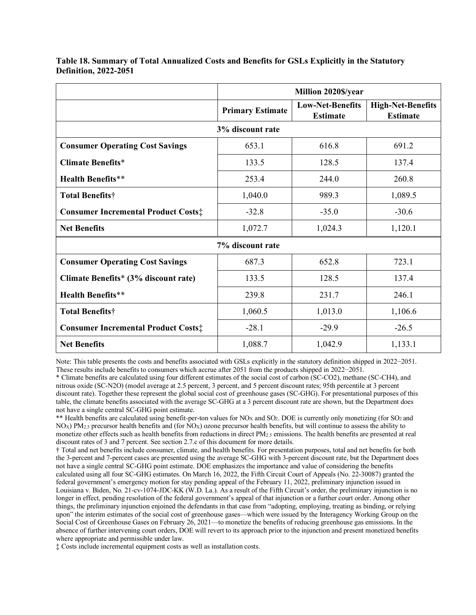|                                            | Million 2020\$/year     |                                            |                                             |  |
|--------------------------------------------|-------------------------|--------------------------------------------|---------------------------------------------|--|
|                                            | <b>Primary Estimate</b> | <b>Low-Net-Benefits</b><br><b>Estimate</b> | <b>High-Net-Benefits</b><br><b>Estimate</b> |  |
|                                            | 3% discount rate        |                                            |                                             |  |
| <b>Consumer Operating Cost Savings</b>     | 653.1                   | 616.8                                      | 691.2                                       |  |
| <b>Climate Benefits*</b>                   | 133.5                   | 128.5                                      | 137.4                                       |  |
| <b>Health Benefits**</b>                   | 253.4                   | 244.0                                      | 260.8                                       |  |
| Total Benefits†                            | 1,040.0                 | 989.3                                      | 1,089.5                                     |  |
| <b>Consumer Incremental Product Costs:</b> | $-32.8$                 | $-35.0$                                    | $-30.6$                                     |  |
| <b>Net Benefits</b>                        | 1,072.7                 | 1,024.3                                    | 1,120.1                                     |  |
|                                            | 7% discount rate        |                                            |                                             |  |
| <b>Consumer Operating Cost Savings</b>     | 687.3                   | 652.8                                      | 723.1                                       |  |
| Climate Benefits* (3% discount rate)       | 133.5                   | 128.5                                      | 137.4                                       |  |
| <b>Health Benefits**</b>                   | 239.8                   | 231.7                                      | 246.1                                       |  |
| <b>Total Benefits†</b>                     | 1,060.5                 | 1,013.0                                    | 1,106.6                                     |  |
| <b>Consumer Incremental Product Costs:</b> | $-28.1$                 | $-29.9$                                    | $-26.5$                                     |  |
| <b>Net Benefits</b>                        | 1,088.7                 | 1,042.9                                    | 1,133.1                                     |  |

<span id="page-41-0"></span>**Table 18. Summary of Total Annualized Costs and Benefits for GSLs Explicitly in the Statutory Definition, 2022-2051**

Note: This table presents the costs and benefits associated with GSLs explicitly in the statutory definition shipped in 2022−2051. These results include benefits to consumers which accrue after 2051 from the products shipped in 2022−2051.

\* Climate benefits are calculated using four different estimates of the social cost of carbon (SC-CO2), methane (SC-CH4), and nitrous oxide (SC-N2O) (model average at 2.5 percent, 3 percent, and 5 percent discount rates; 95th percentile at 3 percent discount rate). Together these represent the global social cost of greenhouse gases (SC-GHG). For presentational purposes of this table, the climate benefits associated with the average SC-GHG at a 3 percent discount rate are shown, but the Department does not have a single central SC-GHG point estimate.

\*\* Health benefits are calculated using benefit-per-ton values for  $NO<sub>X</sub>$  and  $SO<sub>2</sub>$ . DOE is currently only monetizing (for  $SO<sub>2</sub>$  and NO<sub>X</sub>) PM<sub>2.5</sub> precursor health benefits and (for NO<sub>X</sub>) ozone precursor health benefits, but will continue to assess the ability to monetize other effects such as health benefits from reductions in direct  $PM_{2.5}$  emissions. The health benefits are presented at real discount rates of 3 and 7 percent. See section 2.7.c of this document for more details.

† Total and net benefits include consumer, climate, and health benefits. For presentation purposes, total and net benefits for both the 3-percent and 7-percent cases are presented using the average SC-GHG with 3-percent discount rate, but the Department does not have a single central SC-GHG point estimate. DOE emphasizes the importance and value of considering the benefits calculated using all four SC-GHG estimates. On March 16, 2022, the Fifth Circuit Court of Appeals (No. 22-30087) granted the federal government's emergency motion for stay pending appeal of the February 11, 2022, preliminary injunction issued in Louisiana v. Biden, No. 21-cv-1074-JDC-KK (W.D. La.). As a result of the Fifth Circuit's order, the preliminary injunction is no longer in effect, pending resolution of the federal government's appeal of that injunction or a further court order. Among other things, the preliminary injunction enjoined the defendants in that case from "adopting, employing, treating as binding, or relying upon" the interim estimates of the social cost of greenhouse gases—which were issued by the Interagency Working Group on the Social Cost of Greenhouse Gases on February 26, 2021—to monetize the benefits of reducing greenhouse gas emissions. In the absence of further intervening court orders, DOE will revert to its approach prior to the injunction and present monetized benefits where appropriate and permissible under law.

‡ Costs include incremental equipment costs as well as installation costs.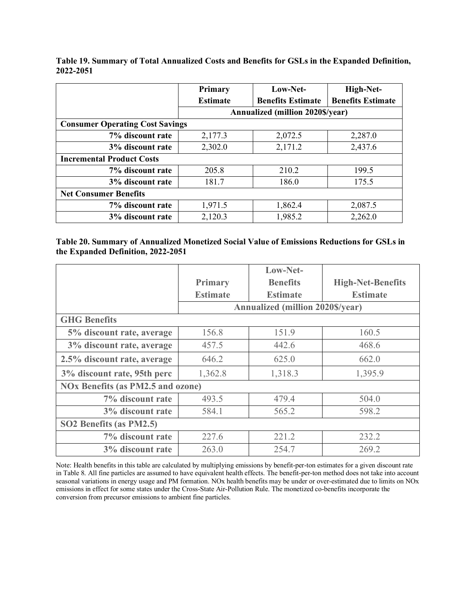|                                        | <b>Primary</b>  | Low-Net-                                | High-Net-                |  |  |
|----------------------------------------|-----------------|-----------------------------------------|--------------------------|--|--|
|                                        | <b>Estimate</b> | <b>Benefits Estimate</b>                | <b>Benefits Estimate</b> |  |  |
|                                        |                 | <b>Annualized (million 2020\$/year)</b> |                          |  |  |
| <b>Consumer Operating Cost Savings</b> |                 |                                         |                          |  |  |
| 7% discount rate                       | 2,177.3         | 2,072.5                                 | 2,287.0                  |  |  |
| 3% discount rate                       | 2,302.0         | 2,171.2                                 | 2,437.6                  |  |  |
| <b>Incremental Product Costs</b>       |                 |                                         |                          |  |  |
| 7% discount rate                       | 205.8           | 210.2                                   | 199.5                    |  |  |
| 3% discount rate                       | 181.7           | 186.0                                   | 175.5                    |  |  |
| <b>Net Consumer Benefits</b>           |                 |                                         |                          |  |  |
| 7% discount rate                       | 1,971.5         | 1,862.4                                 | 2,087.5                  |  |  |
| 3% discount rate                       | 2,120.3         | 1,985.2                                 | 2,262.0                  |  |  |

<span id="page-42-0"></span>**Table 19. Summary of Total Annualized Costs and Benefits for GSLs in the Expanded Definition, 2022-2051**

|  |                                    | Table 20. Summary of Annualized Monetized Social Value of Emissions Reductions for GSLs in |  |
|--|------------------------------------|--------------------------------------------------------------------------------------------|--|
|  | the Expanded Definition, 2022-2051 |                                                                                            |  |

|                             |                                          | Low-Net-                                |                          |  |
|-----------------------------|------------------------------------------|-----------------------------------------|--------------------------|--|
|                             | Primary                                  | <b>Benefits</b>                         | <b>High-Net-Benefits</b> |  |
|                             | <b>Estimate</b>                          | <b>Estimate</b>                         | <b>Estimate</b>          |  |
|                             |                                          | <b>Annualized (million 2020\$/year)</b> |                          |  |
| <b>GHG Benefits</b>         |                                          |                                         |                          |  |
| 5% discount rate, average   | 156.8                                    | 151.9                                   | 160.5                    |  |
| 3% discount rate, average   | 457.5                                    | 442.6                                   | 468.6                    |  |
| 2.5% discount rate, average | 646.2                                    | 625.0                                   | 662.0                    |  |
| 3% discount rate, 95th perc | 1,362.8                                  | 1,318.3                                 | 1,395.9                  |  |
|                             | <b>NOx Benefits (as PM2.5 and ozone)</b> |                                         |                          |  |
| 7% discount rate            | 493.5                                    | 479.4                                   | 504.0                    |  |
| 3% discount rate            | 584.1                                    | 565.2                                   | 598.2                    |  |
| SO2 Benefits (as PM2.5)     |                                          |                                         |                          |  |
| 7% discount rate            | 227.6                                    | 221.2                                   | 232.2                    |  |
| 3% discount rate            | 263.0                                    | 254.7                                   | 269.2                    |  |

Note: Health benefits in this table are calculated by multiplying emissions by benefit-per-ton estimates for a given discount rate i[n Table 8.](#page-31-0) All fine particles are assumed to have equivalent health effects. The benefit-per-ton method does not take into account seasonal variations in energy usage and PM formation. NOx health benefits may be under or over-estimated due to limits on NOx emissions in effect for some states under the Cross-State Air-Pollution Rule. The monetized co-benefits incorporate the conversion from precursor emissions to ambient fine particles.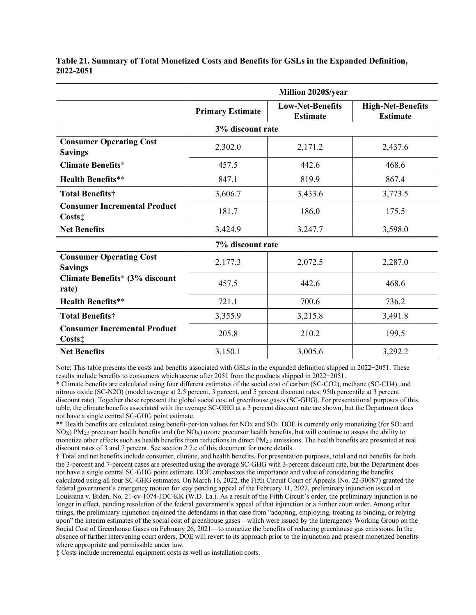|                                                               | Million 2020\$/year     |                                            |                                             |  |
|---------------------------------------------------------------|-------------------------|--------------------------------------------|---------------------------------------------|--|
|                                                               | <b>Primary Estimate</b> | <b>Low-Net-Benefits</b><br><b>Estimate</b> | <b>High-Net-Benefits</b><br><b>Estimate</b> |  |
|                                                               | 3% discount rate        |                                            |                                             |  |
| <b>Consumer Operating Cost</b><br><b>Savings</b>              | 2,302.0                 | 2,171.2                                    | 2,437.6                                     |  |
| <b>Climate Benefits*</b>                                      | 457.5                   | 442.6                                      | 468.6                                       |  |
| <b>Health Benefits**</b>                                      | 847.1                   | 819.9                                      | 867.4                                       |  |
| Total Benefits†                                               | 3,606.7                 | 3,433.6                                    | 3,773.5                                     |  |
| <b>Consumer Incremental Product</b><br>$\text{Costs}\ddagger$ | 181.7                   | 186.0                                      | 175.5                                       |  |
| <b>Net Benefits</b>                                           | 3,424.9                 | 3,247.7                                    | 3,598.0                                     |  |
|                                                               | 7% discount rate        |                                            |                                             |  |
| <b>Consumer Operating Cost</b><br><b>Savings</b>              | 2,177.3                 | 2,072.5                                    | 2,287.0                                     |  |
| Climate Benefits* (3% discount<br>rate)                       | 457.5                   | 442.6                                      | 468.6                                       |  |
| <b>Health Benefits**</b>                                      | 721.1                   | 700.6                                      | 736.2                                       |  |
| <b>Total Benefits†</b>                                        | 3,355.9                 | 3,215.8                                    | 3,491.8                                     |  |
| <b>Consumer Incremental Product</b><br>$Costs$ :              | 205.8                   | 210.2                                      | 199.5                                       |  |
| <b>Net Benefits</b>                                           | 3,150.1                 | 3,005.6                                    | 3,292.2                                     |  |

<span id="page-43-0"></span>**Table 21. Summary of Total Monetized Costs and Benefits for GSLs in the Expanded Definition, 2022-2051**

Note: This table presents the costs and benefits associated with GSLs in the expanded definition shipped in 2022−2051. These results include benefits to consumers which accrue after 2051 from the products shipped in 2022−2051.

\* Climate benefits are calculated using four different estimates of the social cost of carbon (SC-CO2), methane (SC-CH4), and nitrous oxide (SC-N2O) (model average at 2.5 percent, 3 percent, and 5 percent discount rates; 95th percentile at 3 percent discount rate). Together these represent the global social cost of greenhouse gases (SC-GHG). For presentational purposes of this table, the climate benefits associated with the average SC-GHG at a 3 percent discount rate are shown, but the Department does not have a single central SC-GHG point estimate.

\*\* Health benefits are calculated using benefit-per-ton values for  $NO<sub>X</sub>$  and  $SO<sub>2</sub>$ . DOE is currently only monetizing (for  $SO<sub>2</sub>$  and NO<sub>X</sub>) PM<sub>2.5</sub> precursor health benefits and (for NO<sub>X</sub>) ozone precursor health benefits, but will continue to assess the ability to monetize other effects such as health benefits from reductions in direct PM2.5 emissions. The health benefits are presented at real discount rates of 3 and 7 percent. See section 2.7.c of this document for more details.

† Total and net benefits include consumer, climate, and health benefits. For presentation purposes, total and net benefits for both the 3-percent and 7-percent cases are presented using the average SC-GHG with 3-percent discount rate, but the Department does not have a single central SC-GHG point estimate. DOE emphasizes the importance and value of considering the benefits calculated using all four SC-GHG estimates. On March 16, 2022, the Fifth Circuit Court of Appeals (No. 22-30087) granted the federal government's emergency motion for stay pending appeal of the February 11, 2022, preliminary injunction issued in Louisiana v. Biden, No. 21-cv-1074-JDC-KK (W.D. La.). As a result of the Fifth Circuit's order, the preliminary injunction is no longer in effect, pending resolution of the federal government's appeal of that injunction or a further court order. Among other things, the preliminary injunction enjoined the defendants in that case from "adopting, employing, treating as binding, or relying upon" the interim estimates of the social cost of greenhouse gases—which were issued by the Interagency Working Group on the Social Cost of Greenhouse Gases on February 26, 2021—to monetize the benefits of reducing greenhouse gas emissions. In the absence of further intervening court orders, DOE will revert to its approach prior to the injunction and present monetized benefits where appropriate and permissible under law.

‡ Costs include incremental equipment costs as well as installation costs.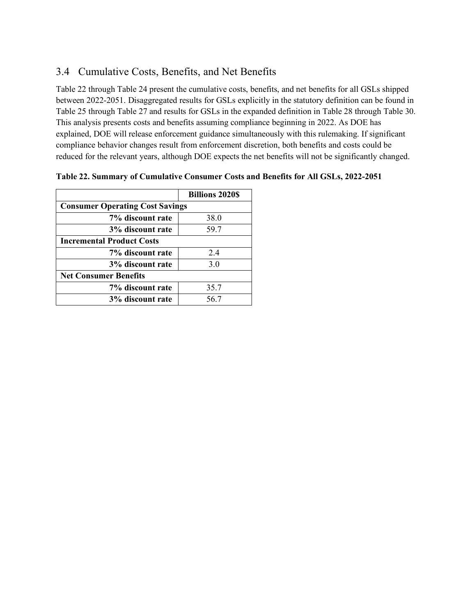## 3.4 Cumulative Costs, Benefits, and Net Benefits

[Table 22](#page-44-0) throug[h Table 24](#page-46-0) present the cumulative costs, benefits, and net benefits for all GSLs shipped between 2022-2051. Disaggregated results for GSLs explicitly in the statutory definition can be found in [Table 25](#page-47-0) throug[h Table 27](#page-48-0) and results for GSLs in the expanded definition in [Table 28](#page-49-0) through [Table 30.](#page-50-0) This analysis presents costs and benefits assuming compliance beginning in 2022. As DOE has explained, DOE will release enforcement guidance simultaneously with this rulemaking. If significant compliance behavior changes result from enforcement discretion, both benefits and costs could be reduced for the relevant years, although DOE expects the net benefits will not be significantly changed.

|                                        | <b>Billions 2020\$</b> |
|----------------------------------------|------------------------|
| <b>Consumer Operating Cost Savings</b> |                        |
| 7% discount rate                       | 38.0                   |
| 3% discount rate                       | 59.7                   |
| <b>Incremental Product Costs</b>       |                        |
| 7% discount rate                       | 2.4                    |
| 3% discount rate                       | 3.0                    |
| <b>Net Consumer Benefits</b>           |                        |
| 7% discount rate                       | 35.7                   |
| 3% discount rate                       | 56.7                   |

<span id="page-44-0"></span>

|  | Table 22. Summary of Cumulative Consumer Costs and Benefits for All GSLs, 2022-2051 |  |  |  |
|--|-------------------------------------------------------------------------------------|--|--|--|
|  |                                                                                     |  |  |  |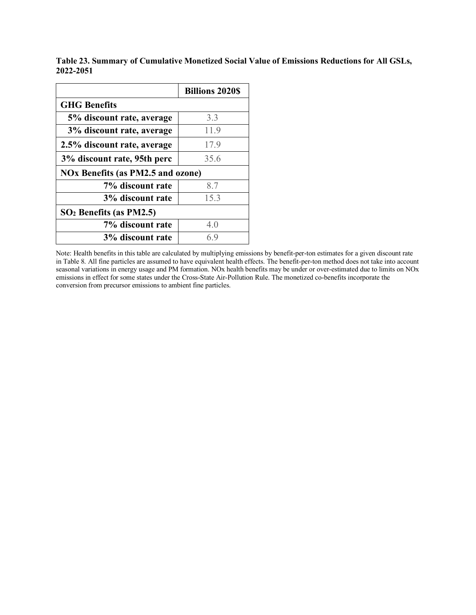|                                          | <b>Billions 2020S</b> |  |  |
|------------------------------------------|-----------------------|--|--|
| <b>GHG</b> Benefits                      |                       |  |  |
| 5% discount rate, average                | 3.3                   |  |  |
| 3% discount rate, average                | 11.9                  |  |  |
| 2.5% discount rate, average              | 17.9                  |  |  |
| 3% discount rate, 95th perc              | 35.6                  |  |  |
| <b>NOx Benefits (as PM2.5 and ozone)</b> |                       |  |  |
| 7% discount rate                         | 8.7                   |  |  |
| 3% discount rate                         | 15.3                  |  |  |
| $SO2$ Benefits (as PM2.5)                |                       |  |  |
| 7% discount rate                         | 4.0                   |  |  |
| 3% discount rate                         | 6.9                   |  |  |

**Table 23. Summary of Cumulative Monetized Social Value of Emissions Reductions for All GSLs, 2022-2051**

Note: Health benefits in this table are calculated by multiplying emissions by benefit-per-ton estimates for a given discount rate i[n Table 8.](#page-31-0) All fine particles are assumed to have equivalent health effects. The benefit-per-ton method does not take into account seasonal variations in energy usage and PM formation. NOx health benefits may be under or over-estimated due to limits on NOx emissions in effect for some states under the Cross-State Air-Pollution Rule. The monetized co-benefits incorporate the conversion from precursor emissions to ambient fine particles.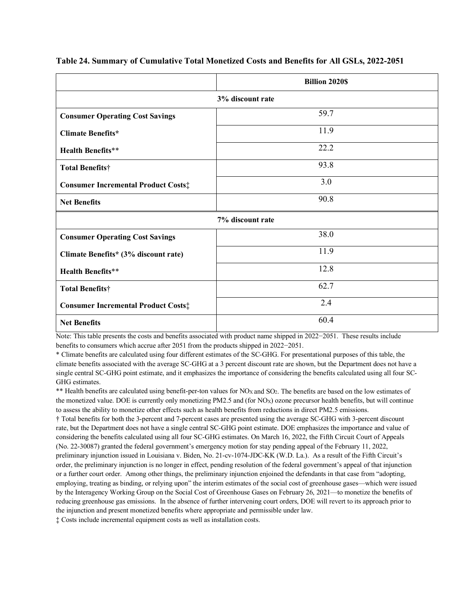|                                            | <b>Billion 2020\$</b> |  |
|--------------------------------------------|-----------------------|--|
| 3% discount rate                           |                       |  |
| <b>Consumer Operating Cost Savings</b>     | 59.7                  |  |
| <b>Climate Benefits*</b>                   | 11.9                  |  |
| <b>Health Benefits**</b>                   | 22.2                  |  |
| <b>Total Benefits†</b>                     | 93.8                  |  |
| <b>Consumer Incremental Product Costs:</b> | 3.0                   |  |
| <b>Net Benefits</b>                        | 90.8                  |  |
|                                            | 7% discount rate      |  |
| <b>Consumer Operating Cost Savings</b>     | 38.0                  |  |
| Climate Benefits* (3% discount rate)       | 11.9                  |  |
| <b>Health Benefits**</b>                   | 12.8                  |  |
| <b>Total Benefits†</b>                     | 62.7                  |  |
| <b>Consumer Incremental Product Costs:</b> | 2.4                   |  |
| <b>Net Benefits</b>                        | 60.4                  |  |

#### <span id="page-46-0"></span>**Table 24. Summary of Cumulative Total Monetized Costs and Benefits for All GSLs, 2022-2051**

Note: This table presents the costs and benefits associated with product name shipped in 2022−2051. These results include benefits to consumers which accrue after 2051 from the products shipped in 2022−2051.

\* Climate benefits are calculated using four different estimates of the SC-GHG. For presentational purposes of this table, the climate benefits associated with the average SC-GHG at a 3 percent discount rate are shown, but the Department does not have a single central SC-GHG point estimate, and it emphasizes the importance of considering the benefits calculated using all four SC-GHG estimates.

\*\* Health benefits are calculated using benefit-per-ton values for NO<sub>X</sub> and SO<sub>2</sub>. The benefits are based on the low estimates of the monetized value. DOE is currently only monetizing PM2.5 and (for NOX) ozone precursor health benefits, but will continue to assess the ability to monetize other effects such as health benefits from reductions in direct PM2.5 emissions.

† Total benefits for both the 3-percent and 7-percent cases are presented using the average SC-GHG with 3-percent discount rate, but the Department does not have a single central SC-GHG point estimate. DOE emphasizes the importance and value of considering the benefits calculated using all four SC-GHG estimates. On March 16, 2022, the Fifth Circuit Court of Appeals (No. 22-30087) granted the federal government's emergency motion for stay pending appeal of the February 11, 2022, preliminary injunction issued in Louisiana v. Biden, No. 21-cv-1074-JDC-KK (W.D. La.). As a result of the Fifth Circuit's order, the preliminary injunction is no longer in effect, pending resolution of the federal government's appeal of that injunction or a further court order. Among other things, the preliminary injunction enjoined the defendants in that case from "adopting, employing, treating as binding, or relying upon" the interim estimates of the social cost of greenhouse gases—which were issued by the Interagency Working Group on the Social Cost of Greenhouse Gases on February 26, 2021—to monetize the benefits of reducing greenhouse gas emissions. In the absence of further intervening court orders, DOE will revert to its approach prior to the injunction and present monetized benefits where appropriate and permissible under law. ‡ Costs include incremental equipment costs as well as installation costs.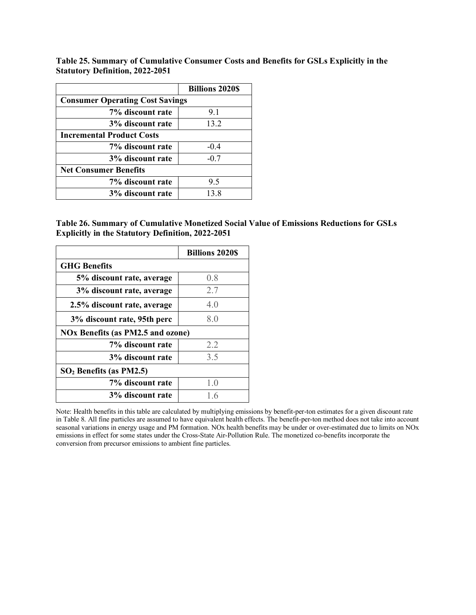<span id="page-47-0"></span>**Table 25. Summary of Cumulative Consumer Costs and Benefits for GSLs Explicitly in the Statutory Definition, 2022-2051**

|                                        | <b>Billions 2020\$</b> |  |  |
|----------------------------------------|------------------------|--|--|
| <b>Consumer Operating Cost Savings</b> |                        |  |  |
| 7% discount rate                       | 9.1                    |  |  |
| 3% discount rate                       | 13.2                   |  |  |
| <b>Incremental Product Costs</b>       |                        |  |  |
| 7% discount rate                       | $-0.4$                 |  |  |
| 3% discount rate                       | $-0.7$                 |  |  |
| <b>Net Consumer Benefits</b>           |                        |  |  |
| 7% discount rate                       | 9.5                    |  |  |
| 3% discount rate                       | 13.8                   |  |  |

**Table 26. Summary of Cumulative Monetized Social Value of Emissions Reductions for GSLs Explicitly in the Statutory Definition, 2022-2051**

|                                          | <b>Billions 2020S</b> |
|------------------------------------------|-----------------------|
| <b>GHG</b> Benefits                      |                       |
| 5% discount rate, average                | 0.8                   |
| 3% discount rate, average                | 2.7                   |
| 2.5% discount rate, average              | 4.0                   |
| 3% discount rate, 95th perc              | 8.0                   |
| <b>NOx Benefits (as PM2.5 and ozone)</b> |                       |
| 7% discount rate                         | 2.2                   |
| 3% discount rate                         | 3.5                   |
| $SO2$ Benefits (as PM2.5)                |                       |
| 7% discount rate                         | 1.0                   |
| 3% discount rate                         | 1.6                   |

Note: Health benefits in this table are calculated by multiplying emissions by benefit-per-ton estimates for a given discount rate i[n Table 8.](#page-31-0) All fine particles are assumed to have equivalent health effects. The benefit-per-ton method does not take into account seasonal variations in energy usage and PM formation. NOx health benefits may be under or over-estimated due to limits on NOx emissions in effect for some states under the Cross-State Air-Pollution Rule. The monetized co-benefits incorporate the conversion from precursor emissions to ambient fine particles.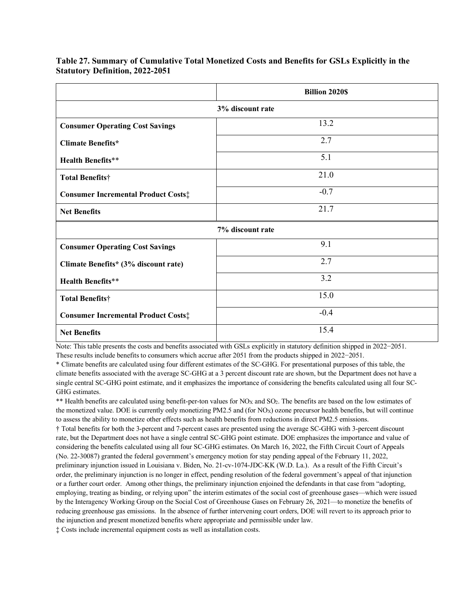|                                             | <b>Billion 2020S</b> |  |  |
|---------------------------------------------|----------------------|--|--|
| 3% discount rate                            |                      |  |  |
| <b>Consumer Operating Cost Savings</b>      | 13.2                 |  |  |
| <b>Climate Benefits*</b>                    | 2.7                  |  |  |
| <b>Health Benefits**</b>                    | 5.1                  |  |  |
| <b>Total Benefits†</b>                      | 21.0                 |  |  |
| <b>Consumer Incremental Product Costs:</b>  | $-0.7$               |  |  |
| <b>Net Benefits</b>                         | 21.7                 |  |  |
|                                             | 7% discount rate     |  |  |
| <b>Consumer Operating Cost Savings</b>      | 9.1                  |  |  |
| Climate Benefits* (3% discount rate)        | 2.7                  |  |  |
| <b>Health Benefits**</b>                    | 3.2                  |  |  |
| Total Benefits†                             | 15.0                 |  |  |
| <b>Consumer Incremental Product Costs</b> # | $-0.4$               |  |  |
| <b>Net Benefits</b>                         | 15.4                 |  |  |

<span id="page-48-0"></span>**Table 27. Summary of Cumulative Total Monetized Costs and Benefits for GSLs Explicitly in the Statutory Definition, 2022-2051**

Note: This table presents the costs and benefits associated with GSLs explicitly in statutory definition shipped in 2022−2051.

These results include benefits to consumers which accrue after 2051 from the products shipped in 2022−2051.

\* Climate benefits are calculated using four different estimates of the SC-GHG. For presentational purposes of this table, the climate benefits associated with the average SC-GHG at a 3 percent discount rate are shown, but the Department does not have a single central SC-GHG point estimate, and it emphasizes the importance of considering the benefits calculated using all four SC-GHG estimates.

\*\* Health benefits are calculated using benefit-per-ton values for NO<sub>X</sub> and SO<sub>2</sub>. The benefits are based on the low estimates of the monetized value. DOE is currently only monetizing PM2.5 and (for NOX) ozone precursor health benefits, but will continue to assess the ability to monetize other effects such as health benefits from reductions in direct PM2.5 emissions.

† Total benefits for both the 3-percent and 7-percent cases are presented using the average SC-GHG with 3-percent discount rate, but the Department does not have a single central SC-GHG point estimate. DOE emphasizes the importance and value of considering the benefits calculated using all four SC-GHG estimates. On March 16, 2022, the Fifth Circuit Court of Appeals (No. 22-30087) granted the federal government's emergency motion for stay pending appeal of the February 11, 2022, preliminary injunction issued in Louisiana v. Biden, No. 21-cv-1074-JDC-KK (W.D. La.). As a result of the Fifth Circuit's order, the preliminary injunction is no longer in effect, pending resolution of the federal government's appeal of that injunction or a further court order. Among other things, the preliminary injunction enjoined the defendants in that case from "adopting, employing, treating as binding, or relying upon" the interim estimates of the social cost of greenhouse gases—which were issued by the Interagency Working Group on the Social Cost of Greenhouse Gases on February 26, 2021—to monetize the benefits of reducing greenhouse gas emissions. In the absence of further intervening court orders, DOE will revert to its approach prior to the injunction and present monetized benefits where appropriate and permissible under law.

‡ Costs include incremental equipment costs as well as installation costs.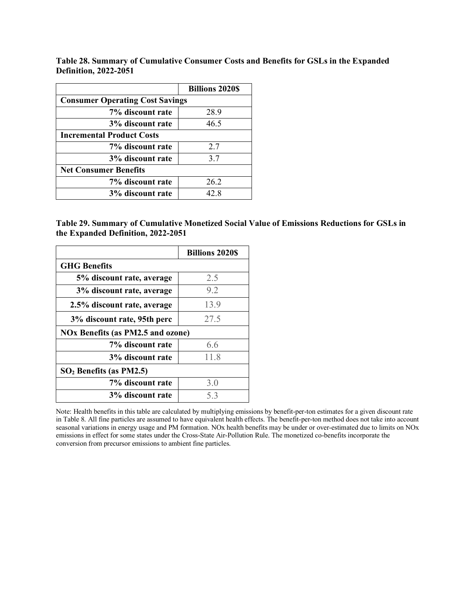<span id="page-49-0"></span>**Table 28. Summary of Cumulative Consumer Costs and Benefits for GSLs in the Expanded Definition, 2022-2051**

|                                        | <b>Billions 2020\$</b> |  |  |  |
|----------------------------------------|------------------------|--|--|--|
| <b>Consumer Operating Cost Savings</b> |                        |  |  |  |
| 7% discount rate                       | 28.9                   |  |  |  |
| 3% discount rate                       | 46.5                   |  |  |  |
| <b>Incremental Product Costs</b>       |                        |  |  |  |
| 7% discount rate                       | 2.7                    |  |  |  |
| 3% discount rate                       | 3.7                    |  |  |  |
| <b>Net Consumer Benefits</b>           |                        |  |  |  |
| 7% discount rate                       | 26.2                   |  |  |  |
| 3% discount rate                       | 42.8                   |  |  |  |

**Table 29. Summary of Cumulative Monetized Social Value of Emissions Reductions for GSLs in the Expanded Definition, 2022-2051**

|                                          | <b>Billions 2020S</b> |
|------------------------------------------|-----------------------|
| <b>GHG</b> Benefits                      |                       |
| 5% discount rate, average                | 2.5                   |
| 3% discount rate, average                | 9.2                   |
| 2.5% discount rate, average              | 13.9                  |
| 3% discount rate, 95th perc              | 27.5                  |
| <b>NOx Benefits (as PM2.5 and ozone)</b> |                       |
| 7% discount rate                         | 6.6                   |
| 3% discount rate                         | 11.8                  |
| $SO2$ Benefits (as PM2.5)                |                       |
| 7% discount rate                         | 3.0                   |
| 3% discount rate                         | 5.3                   |

Note: Health benefits in this table are calculated by multiplying emissions by benefit-per-ton estimates for a given discount rate i[n Table 8.](#page-31-0) All fine particles are assumed to have equivalent health effects. The benefit-per-ton method does not take into account seasonal variations in energy usage and PM formation. NOx health benefits may be under or over-estimated due to limits on NOx emissions in effect for some states under the Cross-State Air-Pollution Rule. The monetized co-benefits incorporate the conversion from precursor emissions to ambient fine particles.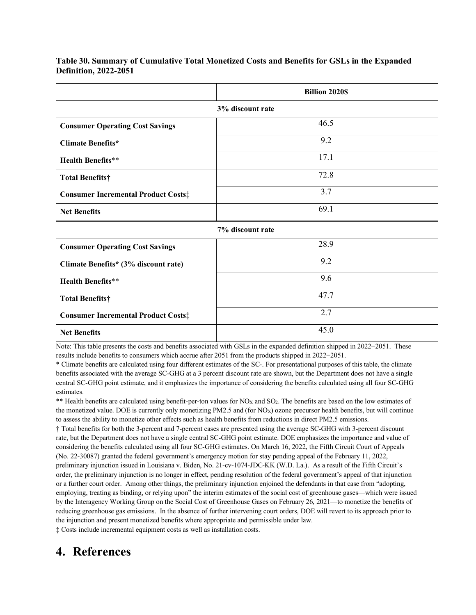|                                            | <b>Billion 2020S</b> |  |  |  |  |
|--------------------------------------------|----------------------|--|--|--|--|
| 3% discount rate                           |                      |  |  |  |  |
| <b>Consumer Operating Cost Savings</b>     | 46.5                 |  |  |  |  |
| <b>Climate Benefits*</b>                   | 9.2                  |  |  |  |  |
| <b>Health Benefits**</b>                   | 17.1                 |  |  |  |  |
| <b>Total Benefits†</b>                     | 72.8                 |  |  |  |  |
| <b>Consumer Incremental Product Costs:</b> | 3.7                  |  |  |  |  |
| <b>Net Benefits</b>                        | 69.1                 |  |  |  |  |
|                                            | 7% discount rate     |  |  |  |  |
| <b>Consumer Operating Cost Savings</b>     | 28.9                 |  |  |  |  |
| Climate Benefits* (3% discount rate)       | 9.2                  |  |  |  |  |
| <b>Health Benefits**</b>                   | 9.6                  |  |  |  |  |
| <b>Total Benefits†</b>                     | 47.7                 |  |  |  |  |
| <b>Consumer Incremental Product Costs:</b> | 2.7                  |  |  |  |  |
| <b>Net Benefits</b>                        | 45.0                 |  |  |  |  |

<span id="page-50-0"></span>**Table 30. Summary of Cumulative Total Monetized Costs and Benefits for GSLs in the Expanded Definition, 2022-2051**

Note: This table presents the costs and benefits associated with GSLs in the expanded definition shipped in 2022−2051. These results include benefits to consumers which accrue after 2051 from the products shipped in 2022−2051.

\* Climate benefits are calculated using four different estimates of the SC-. For presentational purposes of this table, the climate benefits associated with the average SC-GHG at a 3 percent discount rate are shown, but the Department does not have a single central SC-GHG point estimate, and it emphasizes the importance of considering the benefits calculated using all four SC-GHG estimates.

\*\* Health benefits are calculated using benefit-per-ton values for NO<sub>X</sub> and SO<sub>2</sub>. The benefits are based on the low estimates of the monetized value. DOE is currently only monetizing PM2.5 and (for NOX) ozone precursor health benefits, but will continue to assess the ability to monetize other effects such as health benefits from reductions in direct PM2.5 emissions.

† Total benefits for both the 3-percent and 7-percent cases are presented using the average SC-GHG with 3-percent discount rate, but the Department does not have a single central SC-GHG point estimate. DOE emphasizes the importance and value of considering the benefits calculated using all four SC-GHG estimates. On March 16, 2022, the Fifth Circuit Court of Appeals (No. 22-30087) granted the federal government's emergency motion for stay pending appeal of the February 11, 2022, preliminary injunction issued in Louisiana v. Biden, No. 21-cv-1074-JDC-KK (W.D. La.). As a result of the Fifth Circuit's order, the preliminary injunction is no longer in effect, pending resolution of the federal government's appeal of that injunction or a further court order. Among other things, the preliminary injunction enjoined the defendants in that case from "adopting, employing, treating as binding, or relying upon" the interim estimates of the social cost of greenhouse gases—which were issued by the Interagency Working Group on the Social Cost of Greenhouse Gases on February 26, 2021—to monetize the benefits of reducing greenhouse gas emissions. In the absence of further intervening court orders, DOE will revert to its approach prior to the injunction and present monetized benefits where appropriate and permissible under law.

‡ Costs include incremental equipment costs as well as installation costs.

## **4. References**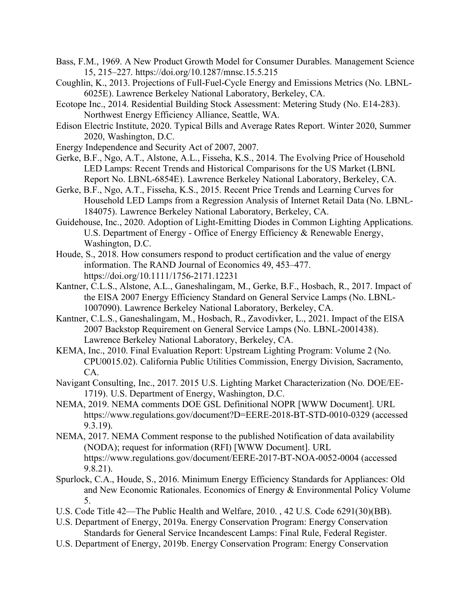- Bass, F.M., 1969. A New Product Growth Model for Consumer Durables. Management Science 15, 215–227. https://doi.org/10.1287/mnsc.15.5.215
- Coughlin, K., 2013. Projections of Full-Fuel-Cycle Energy and Emissions Metrics (No. LBNL-6025E). Lawrence Berkeley National Laboratory, Berkeley, CA.
- Ecotope Inc., 2014. Residential Building Stock Assessment: Metering Study (No. E14-283). Northwest Energy Efficiency Alliance, Seattle, WA.
- Edison Electric Institute, 2020. Typical Bills and Average Rates Report. Winter 2020, Summer 2020, Washington, D.C.
- Energy Independence and Security Act of 2007, 2007.
- Gerke, B.F., Ngo, A.T., Alstone, A.L., Fisseha, K.S., 2014. The Evolving Price of Household LED Lamps: Recent Trends and Historical Comparisons for the US Market (LBNL Report No. LBNL-6854E). Lawrence Berkeley National Laboratory, Berkeley, CA.
- Gerke, B.F., Ngo, A.T., Fisseha, K.S., 2015. Recent Price Trends and Learning Curves for Household LED Lamps from a Regression Analysis of Internet Retail Data (No. LBNL-184075). Lawrence Berkeley National Laboratory, Berkeley, CA.
- Guidehouse, Inc., 2020. Adoption of Light-Emitting Diodes in Common Lighting Applications. U.S. Department of Energy - Office of Energy Efficiency & Renewable Energy, Washington, D.C.
- Houde, S., 2018. How consumers respond to product certification and the value of energy information. The RAND Journal of Economics 49, 453–477. https://doi.org/10.1111/1756-2171.12231
- Kantner, C.L.S., Alstone, A.L., Ganeshalingam, M., Gerke, B.F., Hosbach, R., 2017. Impact of the EISA 2007 Energy Efficiency Standard on General Service Lamps (No. LBNL-1007090). Lawrence Berkeley National Laboratory, Berkeley, CA.
- Kantner, C.L.S., Ganeshalingam, M., Hosbach, R., Zavodivker, L., 2021. Impact of the EISA 2007 Backstop Requirement on General Service Lamps (No. LBNL-2001438). Lawrence Berkeley National Laboratory, Berkeley, CA.
- KEMA, Inc., 2010. Final Evaluation Report: Upstream Lighting Program: Volume 2 (No. CPU0015.02). California Public Utilities Commission, Energy Division, Sacramento, CA.
- Navigant Consulting, Inc., 2017. 2015 U.S. Lighting Market Characterization (No. DOE/EE-1719). U.S. Department of Energy, Washington, D.C.
- NEMA, 2019. NEMA comments DOE GSL Definitional NOPR [WWW Document]. URL https://www.regulations.gov/document?D=EERE-2018-BT-STD-0010-0329 (accessed 9.3.19).
- NEMA, 2017. NEMA Comment response to the published Notification of data availability (NODA); request for information (RFI) [WWW Document]. URL https://www.regulations.gov/document/EERE-2017-BT-NOA-0052-0004 (accessed 9.8.21).
- Spurlock, C.A., Houde, S., 2016. Minimum Energy Efficiency Standards for Appliances: Old and New Economic Rationales. Economics of Energy & Environmental Policy Volume 5.
- U.S. Code Title 42—The Public Health and Welfare, 2010. , 42 U.S. Code 6291(30)(BB).
- U.S. Department of Energy, 2019a. Energy Conservation Program: Energy Conservation Standards for General Service Incandescent Lamps: Final Rule, Federal Register.
- U.S. Department of Energy, 2019b. Energy Conservation Program: Energy Conservation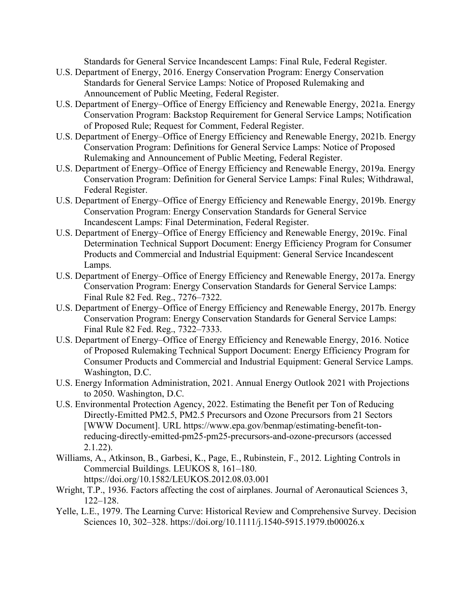Standards for General Service Incandescent Lamps: Final Rule, Federal Register.

- U.S. Department of Energy, 2016. Energy Conservation Program: Energy Conservation Standards for General Service Lamps: Notice of Proposed Rulemaking and Announcement of Public Meeting, Federal Register.
- U.S. Department of Energy–Office of Energy Efficiency and Renewable Energy, 2021a. Energy Conservation Program: Backstop Requirement for General Service Lamps; Notification of Proposed Rule; Request for Comment, Federal Register.
- U.S. Department of Energy–Office of Energy Efficiency and Renewable Energy, 2021b. Energy Conservation Program: Definitions for General Service Lamps: Notice of Proposed Rulemaking and Announcement of Public Meeting, Federal Register.
- U.S. Department of Energy–Office of Energy Efficiency and Renewable Energy, 2019a. Energy Conservation Program: Definition for General Service Lamps: Final Rules; Withdrawal, Federal Register.
- U.S. Department of Energy–Office of Energy Efficiency and Renewable Energy, 2019b. Energy Conservation Program: Energy Conservation Standards for General Service Incandescent Lamps: Final Determination, Federal Register.
- U.S. Department of Energy–Office of Energy Efficiency and Renewable Energy, 2019c. Final Determination Technical Support Document: Energy Efficiency Program for Consumer Products and Commercial and Industrial Equipment: General Service Incandescent Lamps.
- U.S. Department of Energy–Office of Energy Efficiency and Renewable Energy, 2017a. Energy Conservation Program: Energy Conservation Standards for General Service Lamps: Final Rule 82 Fed. Reg., 7276–7322.
- U.S. Department of Energy–Office of Energy Efficiency and Renewable Energy, 2017b. Energy Conservation Program: Energy Conservation Standards for General Service Lamps: Final Rule 82 Fed. Reg., 7322–7333.
- U.S. Department of Energy–Office of Energy Efficiency and Renewable Energy, 2016. Notice of Proposed Rulemaking Technical Support Document: Energy Efficiency Program for Consumer Products and Commercial and Industrial Equipment: General Service Lamps. Washington, D.C.
- U.S. Energy Information Administration, 2021. Annual Energy Outlook 2021 with Projections to 2050. Washington, D.C.
- U.S. Environmental Protection Agency, 2022. Estimating the Benefit per Ton of Reducing Directly-Emitted PM2.5, PM2.5 Precursors and Ozone Precursors from 21 Sectors [WWW Document]. URL https://www.epa.gov/benmap/estimating-benefit-tonreducing-directly-emitted-pm25-pm25-precursors-and-ozone-precursors (accessed 2.1.22).
- Williams, A., Atkinson, B., Garbesi, K., Page, E., Rubinstein, F., 2012. Lighting Controls in Commercial Buildings. LEUKOS 8, 161–180. https://doi.org/10.1582/LEUKOS.2012.08.03.001
- Wright, T.P., 1936. Factors affecting the cost of airplanes. Journal of Aeronautical Sciences 3, 122–128.
- Yelle, L.E., 1979. The Learning Curve: Historical Review and Comprehensive Survey. Decision Sciences 10, 302–328. https://doi.org/10.1111/j.1540-5915.1979.tb00026.x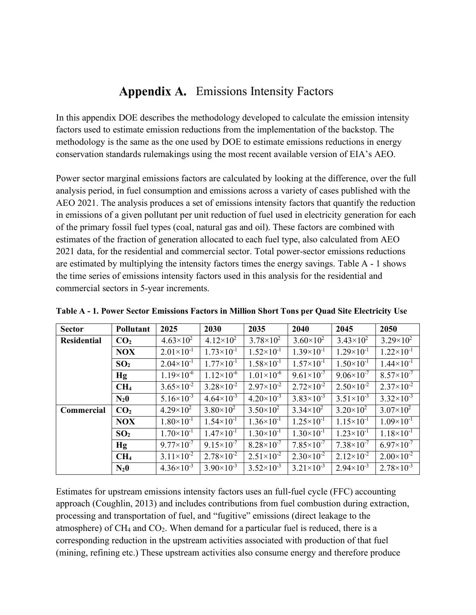## Appendix A. Emissions Intensity Factors

In this appendix DOE describes the methodology developed to calculate the emission intensity factors used to estimate emission reductions from the implementation of the backstop. The methodology is the same as the one used by DOE to estimate emissions reductions in energy conservation standards rulemakings using the most recent available version of EIA's AEO.

Power sector marginal emissions factors are calculated by looking at the difference, over the full analysis period, in fuel consumption and emissions across a variety of cases published with the AEO 2021. The analysis produces a set of emissions intensity factors that quantify the reduction in emissions of a given pollutant per unit reduction of fuel used in electricity generation for each of the primary fossil fuel types (coal, natural gas and oil). These factors are combined with estimates of the fraction of generation allocated to each fuel type, also calculated from AEO 2021 data, for the residential and commercial sector. Total power-sector emissions reductions are estimated by multiplying the intensity factors times the energy savings. [Table A -](#page-53-0) 1 shows the time series of emissions intensity factors used in this analysis for the residential and commercial sectors in 5-year increments.

| <b>Sector</b>      | Pollutant       | 2025                  | 2030                  | 2035                  | 2040                  | 2045                  | 2050                  |
|--------------------|-----------------|-----------------------|-----------------------|-----------------------|-----------------------|-----------------------|-----------------------|
| <b>Residential</b> | CO <sub>2</sub> | $4.63\times10^{2}$    | $4.12\times10^{2}$    | $3.78 \times 10^{2}$  | $3.60\times10^{2}$    | $3.43\times10^{2}$    | $3.29\times10^{2}$    |
|                    | <b>NOX</b>      | $2.01 \times 10^{-1}$ | $1.73\times10^{-1}$   | $1.52\times10^{-1}$   | $1.39\times10^{-1}$   | $1.29\times10^{-1}$   | $1.22 \times 10^{-1}$ |
|                    | SO <sub>2</sub> | $2.04 \times 10^{-1}$ | $1.77\times10^{-1}$   | $1.58\times10^{-1}$   | $1.57\times10^{-1}$   | $1.50\times10^{-1}$   | $1.44 \times 10^{-1}$ |
|                    | Hg              | $1.19\times10^{-6}$   | $1.12\times10^{-6}$   | $1.01\times10^{-6}$   | $9.61 \times 10^{-7}$ | $9.06 \times 10^{-7}$ | $8.57\times10^{-7}$   |
|                    | CH <sub>4</sub> | $3.65 \times 10^{-2}$ | $3.28 \times 10^{-2}$ | $2.97\times10^{-2}$   | $2.72 \times 10^{-2}$ | $2.50 \times 10^{-2}$ | $2.37\times10^{-2}$   |
|                    | $N_20$          | $5.16 \times 10^{-3}$ | $4.64\times10^{-3}$   | $4.20\times10^{-3}$   | $3.83\times10^{-3}$   | $3.51\times10^{-3}$   | $3.32\times10^{-3}$   |
| Commercial         | CO <sub>2</sub> | $4.29\times10^{2}$    | $3.80\times10^{2}$    | $3.50\times10^{2}$    | $3.34\times10^{2}$    | $3.20\times10^{2}$    | $3.07\times10^{2}$    |
|                    | <b>NOX</b>      | $1.80\times10^{-1}$   | $1.54\times10^{-1}$   | $1.36 \times 10^{-1}$ | $1.25 \times 10^{-1}$ | $1.15 \times 10^{-1}$ | $1.09\times10^{-1}$   |
|                    | SO <sub>2</sub> | $1.70 \times 10^{-1}$ | $1.47\times10^{-1}$   | $1.30\times10^{-1}$   | $1.30\times10^{-1}$   | $1.23 \times 10^{-1}$ | $1.18 \times 10^{-1}$ |
|                    | Hg              | $9.77\times10^{-7}$   | $9.15 \times 10^{-7}$ | $8.28 \times 10^{-7}$ | $7.85 \times 10^{-7}$ | $7.38\times10^{-7}$   | $6.97\times10^{-7}$   |
|                    | CH <sub>4</sub> | $3.11 \times 10^{-2}$ | $2.78 \times 10^{-2}$ | $2.51 \times 10^{-2}$ | $2.30\times10^{-2}$   | $2.12\times10^{-2}$   | $2.00\times10^{-2}$   |
|                    | $N_20$          | $4.36\times10^{-3}$   | $3.90\times10^{-3}$   | $3.52\times10^{-3}$   | $3.21 \times 10^{-3}$ | $2.94 \times 10^{-3}$ | $2.78 \times 10^{-3}$ |

<span id="page-53-0"></span>**Table A - 1. Power Sector Emissions Factors in Million Short Tons per Quad Site Electricity Use**

Estimates for upstream emissions intensity factors uses an full-fuel cycle (FFC) accounting approach (Coughlin, 2013) and includes contributions from fuel combustion during extraction, processing and transportation of fuel, and "fugitive" emissions (direct leakage to the atmosphere) of  $CH_4$  and  $CO_2$ . When demand for a particular fuel is reduced, there is a corresponding reduction in the upstream activities associated with production of that fuel (mining, refining etc.) These upstream activities also consume energy and therefore produce